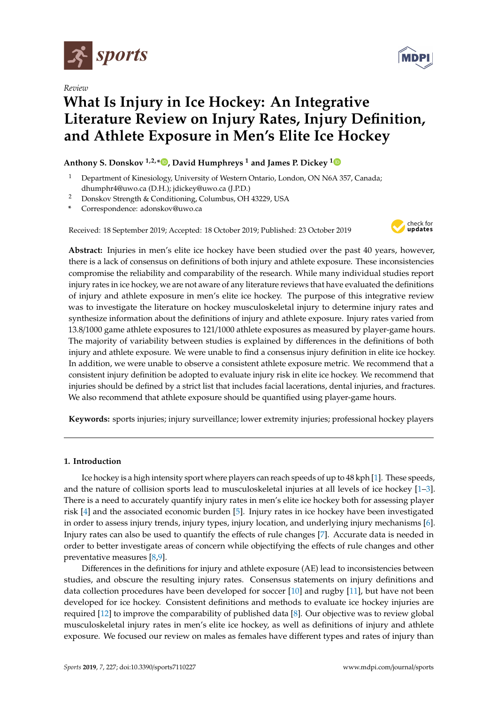

*Review*



# **What Is Injury in Ice Hockey: An Integrative Literature Review on Injury Rates, Injury Definition, and Athlete Exposure in Men's Elite Ice Hockey**

## **Anthony S. Donskov 1,2,\* [,](https://orcid.org/0000-0002-6458-467X) David Humphreys <sup>1</sup> and James P. Dickey [1](https://orcid.org/0000-0002-4101-835X)**

- <sup>1</sup> Department of Kinesiology, University of Western Ontario, London, ON N6A 357, Canada; dhumphr4@uwo.ca (D.H.); jdickey@uwo.ca (J.P.D.)
- <sup>2</sup> Donskov Strength & Conditioning, Columbus, OH 43229, USA
- **\*** Correspondence: adonskov@uwo.ca

Received: 18 September 2019; Accepted: 18 October 2019; Published: 23 October 2019



**Abstract:** Injuries in men's elite ice hockey have been studied over the past 40 years, however, there is a lack of consensus on definitions of both injury and athlete exposure. These inconsistencies compromise the reliability and comparability of the research. While many individual studies report injury rates in ice hockey, we are not aware of any literature reviews that have evaluated the definitions of injury and athlete exposure in men's elite ice hockey. The purpose of this integrative review was to investigate the literature on hockey musculoskeletal injury to determine injury rates and synthesize information about the definitions of injury and athlete exposure. Injury rates varied from 13.8/1000 game athlete exposures to 121/1000 athlete exposures as measured by player-game hours. The majority of variability between studies is explained by differences in the definitions of both injury and athlete exposure. We were unable to find a consensus injury definition in elite ice hockey. In addition, we were unable to observe a consistent athlete exposure metric. We recommend that a consistent injury definition be adopted to evaluate injury risk in elite ice hockey. We recommend that injuries should be defined by a strict list that includes facial lacerations, dental injuries, and fractures. We also recommend that athlete exposure should be quantified using player-game hours.

**Keywords:** sports injuries; injury surveillance; lower extremity injuries; professional hockey players

### **1. Introduction**

Ice hockey is a high intensity sport where players can reach speeds of up to 48 kph [\[1\]](#page-21-0). These speeds, and the nature of collision sports lead to musculoskeletal injuries at all levels of ice hockey [\[1](#page-21-0)[–3\]](#page-21-1). There is a need to accurately quantify injury rates in men's elite ice hockey both for assessing player risk [\[4\]](#page-21-2) and the associated economic burden [\[5\]](#page-21-3). Injury rates in ice hockey have been investigated in order to assess injury trends, injury types, injury location, and underlying injury mechanisms [\[6\]](#page-21-4). Injury rates can also be used to quantify the effects of rule changes [\[7\]](#page-21-5). Accurate data is needed in order to better investigate areas of concern while objectifying the effects of rule changes and other preventative measures [\[8,](#page-21-6)[9\]](#page-21-7).

Differences in the definitions for injury and athlete exposure (AE) lead to inconsistencies between studies, and obscure the resulting injury rates. Consensus statements on injury definitions and data collection procedures have been developed for soccer [\[10\]](#page-21-8) and rugby [\[11\]](#page-21-9), but have not been developed for ice hockey. Consistent definitions and methods to evaluate ice hockey injuries are required [\[12\]](#page-21-10) to improve the comparability of published data [\[8\]](#page-21-6). Our objective was to review global musculoskeletal injury rates in men's elite ice hockey, as well as definitions of injury and athlete exposure. We focused our review on males as females have different types and rates of injury than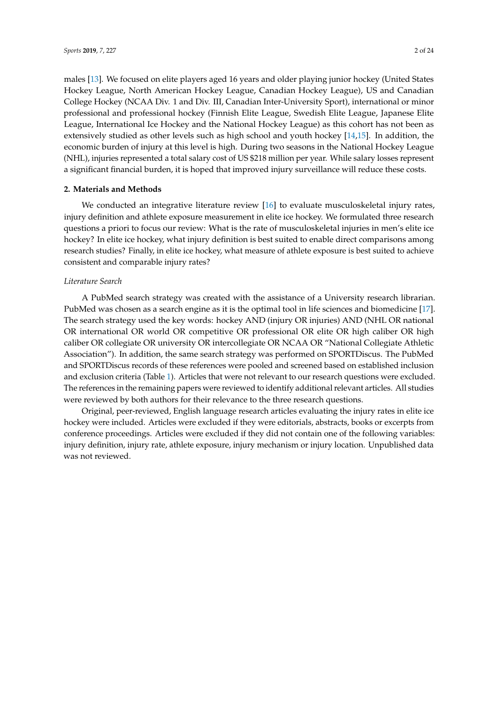males [\[13\]](#page-21-11). We focused on elite players aged 16 years and older playing junior hockey (United States Hockey League, North American Hockey League, Canadian Hockey League), US and Canadian College Hockey (NCAA Div. 1 and Div. III, Canadian Inter-University Sport), international or minor professional and professional hockey (Finnish Elite League, Swedish Elite League, Japanese Elite League, International Ice Hockey and the National Hockey League) as this cohort has not been as extensively studied as other levels such as high school and youth hockey [\[14](#page-21-12)[,15\]](#page-21-13). In addition, the economic burden of injury at this level is high. During two seasons in the National Hockey League (NHL), injuries represented a total salary cost of US \$218 million per year. While salary losses represent

#### **2. Materials and Methods**

We conducted an integrative literature review [\[16\]](#page-21-14) to evaluate musculoskeletal injury rates, injury definition and athlete exposure measurement in elite ice hockey. We formulated three research questions a priori to focus our review: What is the rate of musculoskeletal injuries in men's elite ice hockey? In elite ice hockey, what injury definition is best suited to enable direct comparisons among research studies? Finally, in elite ice hockey, what measure of athlete exposure is best suited to achieve consistent and comparable injury rates?

a significant financial burden, it is hoped that improved injury surveillance will reduce these costs.

#### *Literature Search*

A PubMed search strategy was created with the assistance of a University research librarian. PubMed was chosen as a search engine as it is the optimal tool in life sciences and biomedicine [\[17\]](#page-21-15). The search strategy used the key words: hockey AND (injury OR injuries) AND (NHL OR national OR international OR world OR competitive OR professional OR elite OR high caliber OR high caliber OR collegiate OR university OR intercollegiate OR NCAA OR "National Collegiate Athletic Association"). In addition, the same search strategy was performed on SPORTDiscus. The PubMed and SPORTDiscus records of these references were pooled and screened based on established inclusion and exclusion criteria (Table [1\)](#page-2-0). Articles that were not relevant to our research questions were excluded. The references in the remaining papers were reviewed to identify additional relevant articles. All studies were reviewed by both authors for their relevance to the three research questions.

Original, peer-reviewed, English language research articles evaluating the injury rates in elite ice hockey were included. Articles were excluded if they were editorials, abstracts, books or excerpts from conference proceedings. Articles were excluded if they did not contain one of the following variables: injury definition, injury rate, athlete exposure, injury mechanism or injury location. Unpublished data was not reviewed.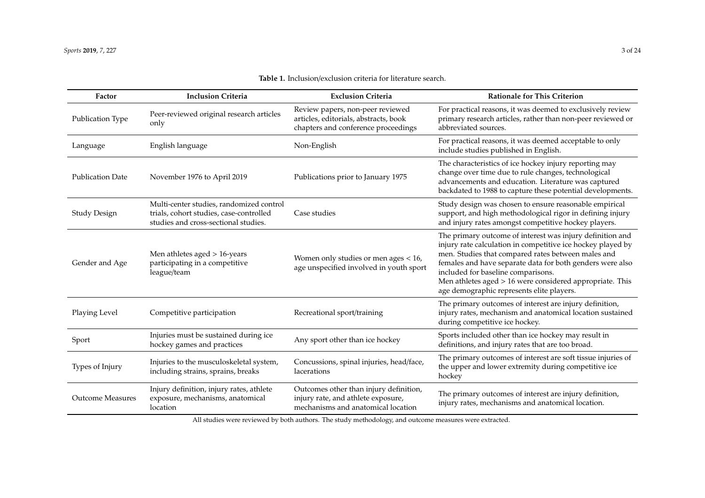<span id="page-2-0"></span>

| Factor                  | <b>Inclusion Criteria</b>                                                                                                   | <b>Exclusion Criteria</b>                                                                                          | <b>Rationale for This Criterion</b>                                                                                                                                                                                                                                                                                                                                                        |
|-------------------------|-----------------------------------------------------------------------------------------------------------------------------|--------------------------------------------------------------------------------------------------------------------|--------------------------------------------------------------------------------------------------------------------------------------------------------------------------------------------------------------------------------------------------------------------------------------------------------------------------------------------------------------------------------------------|
| Publication Type        | Peer-reviewed original research articles<br>only                                                                            | Review papers, non-peer reviewed<br>articles, editorials, abstracts, book<br>chapters and conference proceedings   | For practical reasons, it was deemed to exclusively review<br>primary research articles, rather than non-peer reviewed or<br>abbreviated sources.                                                                                                                                                                                                                                          |
| Language                | English language                                                                                                            | Non-English                                                                                                        | For practical reasons, it was deemed acceptable to only<br>include studies published in English.                                                                                                                                                                                                                                                                                           |
| <b>Publication Date</b> | November 1976 to April 2019                                                                                                 | Publications prior to January 1975                                                                                 | The characteristics of ice hockey injury reporting may<br>change over time due to rule changes, technological<br>advancements and education. Literature was captured<br>backdated to 1988 to capture these potential developments.                                                                                                                                                         |
| <b>Study Design</b>     | Multi-center studies, randomized control<br>trials, cohort studies, case-controlled<br>studies and cross-sectional studies. | Case studies                                                                                                       | Study design was chosen to ensure reasonable empirical<br>support, and high methodological rigor in defining injury<br>and injury rates amongst competitive hockey players.                                                                                                                                                                                                                |
| Gender and Age          | Men athletes aged $> 16$ -years<br>participating in a competitive<br>league/team                                            | Women only studies or men ages $< 16$ ,<br>age unspecified involved in youth sport                                 | The primary outcome of interest was injury definition and<br>injury rate calculation in competitive ice hockey played by<br>men. Studies that compared rates between males and<br>females and have separate data for both genders were also<br>included for baseline comparisons.<br>Men athletes aged > 16 were considered appropriate. This<br>age demographic represents elite players. |
| Playing Level           | Competitive participation                                                                                                   | Recreational sport/training                                                                                        | The primary outcomes of interest are injury definition,<br>injury rates, mechanism and anatomical location sustained<br>during competitive ice hockey.                                                                                                                                                                                                                                     |
| Sport                   | Injuries must be sustained during ice<br>hockey games and practices                                                         | Any sport other than ice hockey                                                                                    | Sports included other than ice hockey may result in<br>definitions, and injury rates that are too broad.                                                                                                                                                                                                                                                                                   |
| Types of Injury         | Injuries to the musculoskeletal system,<br>including strains, sprains, breaks                                               | Concussions, spinal injuries, head/face,<br>lacerations                                                            | The primary outcomes of interest are soft tissue injuries of<br>the upper and lower extremity during competitive ice<br>hockey                                                                                                                                                                                                                                                             |
| <b>Outcome Measures</b> | Injury definition, injury rates, athlete<br>exposure, mechanisms, anatomical<br>location                                    | Outcomes other than injury definition,<br>injury rate, and athlete exposure,<br>mechanisms and anatomical location | The primary outcomes of interest are injury definition,<br>injury rates, mechanisms and anatomical location.                                                                                                                                                                                                                                                                               |

### **Table 1.** Inclusion/exclusion criteria for literature search.

All studies were reviewed by both authors. The study methodology, and outcome measures were extracted.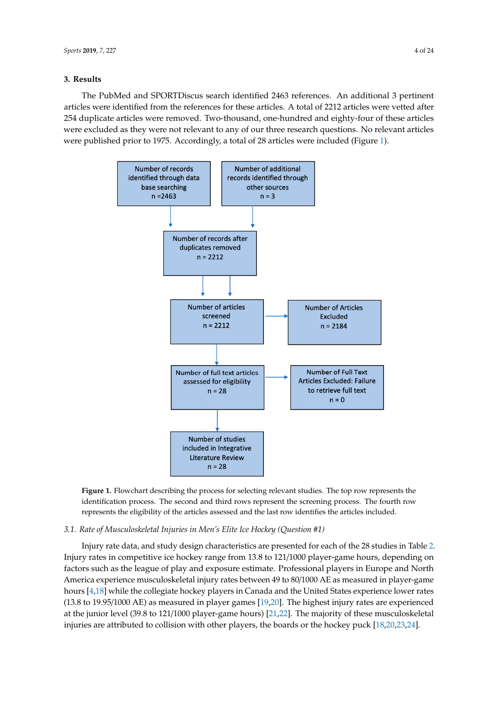### **3. Results 3. Results**

The PubMed and SPORTDiscus search identified 2463 references. An additional 3 pertinent The PubMed and SPORTDiscus search identified 2463 references. An additional 3 pertinent articles were identified from the references for these articles. A total of 2212 articles were vetted after articles were identified from the references for these articles. A total of 2212 articles were vetted after 254 duplicate articles were removed. Two-thousand, one-hundred and eighty-four of these articles 254 duplicate articles were removed. Two-thousand, one-hundred and eighty-four of these articles were excluded as they were not relevant to any of our three research questions. No relevant articles were excluded as they were not relevant to any of our three research questions. No relevant articles were published prior to 1975. Accordingly, a total of 28 articles were included (Figure 1). were published prior to 1975. Accordingly, a total of 28 articles were included (Figu[re](#page-3-0) 1).

<span id="page-3-0"></span>

**Figure 1.** Flowchart describing the process for selecting relevant studies. The top row represents the **Figure 1.** Flowchart describing the process for selecting relevant studies. The top row represents the identification process. The second and third rows represent the screening process. The fourth row identification process. The second and third rows represent the screening process. The fourth row represents the eligibility of the articles assessed and the last row identifies the articles included. represents the eligibility of the articles assessed and the last row identifies the articles included.

#### *3.1. Rate of Musculoskeletal Injuries in Men's Elite Ice Hockey (Question #1) 3.1. Rate of Musculoskeletal Injuries in Men's Elite Ice Hockey (Question #1)*

Injury rates in competitive ice hockey range from 13.8 to 121/1000 player-game hours, depending on factors such as the league of play and exposure estimate. Professional players in Europe and North America experience musculoskeletal injury rates between 49 to 80/1000 AE as measured in player-game hours  $[4,18]$  $[4,18]$  while the collegiate hockey players in Canada and the United States experience lower rates (13.8 to 19.95/1000 AE) as measured in player games [\[19,](#page-21-17)[20\]](#page-21-18). The highest injury rates are experienced at the junior level (39.8 to 121/1000 player-game hours) [\[21](#page-21-19)[,22\]](#page-22-0). The majority of these musculoskeletal  $\frac{1}{2}$  player at the junior level (39.88 to 121.8 to 121.8 to 121.900 players)  $\frac{1}{2}$  for the hockey puck [18,20.23.24] musculoskeletal intervalse are attributed to collision with other players, the hockey puckers, the hockey puckers, the hockey puckers, the hockey puckers, the hockey puckers, the hockey puckers, the hockey puckers, the ho Injury rate data, and study design characteristics are presented for each of the 28 studies in Table [2.](#page-4-0) injuries are attributed to collision with other players, the boards or the hockey puck [\[18](#page-21-16)[,20](#page-21-18)[,23](#page-22-1)[,24\]](#page-22-2).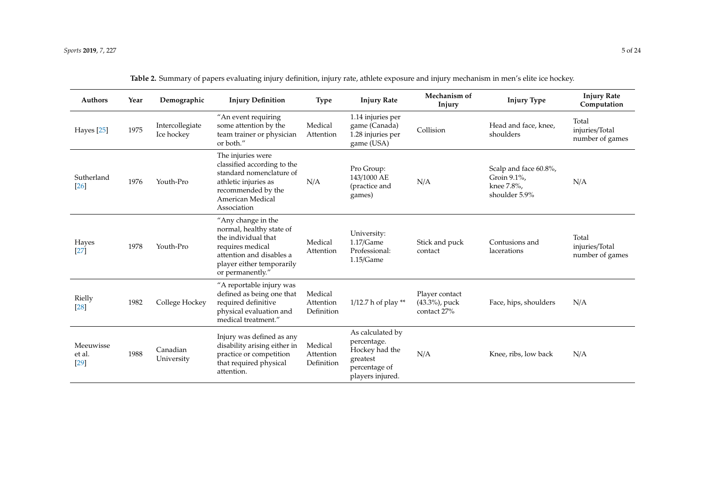<span id="page-4-0"></span>

| <b>Authors</b>                | Year | Demographic                   | <b>Injury Definition</b>                                                                                                                                               | <b>Type</b>                        | <b>Injury Rate</b>                                                                                 | Mechanism of<br>Injury                         | <b>Injury Type</b>                                                  | <b>Injury Rate</b><br>Computation          |
|-------------------------------|------|-------------------------------|------------------------------------------------------------------------------------------------------------------------------------------------------------------------|------------------------------------|----------------------------------------------------------------------------------------------------|------------------------------------------------|---------------------------------------------------------------------|--------------------------------------------|
| Hayes [25]                    | 1975 | Intercollegiate<br>Ice hockey | "An event requiring<br>some attention by the<br>team trainer or physician<br>or both."                                                                                 | Medical<br>Attention               | 1.14 injuries per<br>game (Canada)<br>1.28 injuries per<br>game (USA)                              | Collision                                      | Head and face, knee,<br>shoulders                                   | Total<br>injuries/Total<br>number of games |
| Sutherland<br>[26]            | 1976 | Youth-Pro                     | The injuries were<br>classified according to the<br>standard nomenclature of<br>athletic injuries as<br>recommended by the<br>American Medical<br>Association          | N/A                                | Pro Group:<br>143/1000 AE<br>(practice and<br>games)                                               | N/A                                            | Scalp and face 60.8%,<br>Groin 9.1%,<br>knee 7.8%,<br>shoulder 5.9% | N/A                                        |
| Hayes<br>$[27]$               | 1978 | Youth-Pro                     | "Any change in the<br>normal, healthy state of<br>the individual that<br>requires medical<br>attention and disables a<br>player either temporarily<br>or permanently." | Medical<br>Attention               | University:<br>$1.17/G$ ame<br>Professional:<br>1.15/Game                                          | Stick and puck<br>contact                      | Contusions and<br>lacerations                                       | Total<br>injuries/Total<br>number of games |
| Rielly<br>$[28]$              | 1982 | College Hockey                | "A reportable injury was<br>defined as being one that<br>required definitive<br>physical evaluation and<br>medical treatment."                                         | Medical<br>Attention<br>Definition | 1/12.7 h of play **                                                                                | Player contact<br>(43.3%), puck<br>contact 27% | Face, hips, shoulders                                               | N/A                                        |
| Meeuwisse<br>et al.<br>$[29]$ | 1988 | Canadian<br>University        | Injury was defined as any<br>disability arising either in<br>practice or competition<br>that required physical<br>attention.                                           | Medical<br>Attention<br>Definition | As calculated by<br>percentage.<br>Hockey had the<br>greatest<br>percentage of<br>players injured. | N/A                                            | Knee, ribs, low back                                                | N/A                                        |

**Table 2.** Summary of papers evaluating injury definition, injury rate, athlete exposure and injury mechanism in men's elite ice hockey.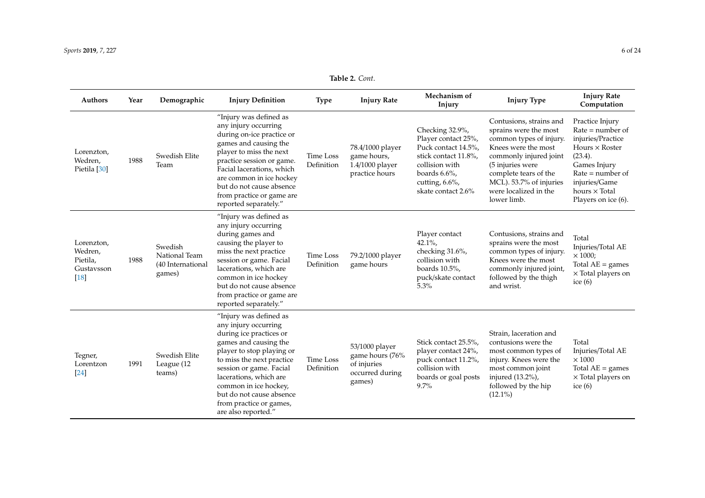#### *Sports* **2019**, *7*, 227 6 of 24

| <b>Authors</b>                                            | Year | Demographic                                             | <b>Injury Definition</b>                                                                                                                                                                                                                                                                                                 | <b>Type</b>             | <b>Injury Rate</b>                                                            | Mechanism of<br>Injury                                                                                                                                              | <b>Injury Type</b>                                                                                                                                                                                                                           | <b>Injury Rate</b><br>Computation                                                                                                                                                                    |
|-----------------------------------------------------------|------|---------------------------------------------------------|--------------------------------------------------------------------------------------------------------------------------------------------------------------------------------------------------------------------------------------------------------------------------------------------------------------------------|-------------------------|-------------------------------------------------------------------------------|---------------------------------------------------------------------------------------------------------------------------------------------------------------------|----------------------------------------------------------------------------------------------------------------------------------------------------------------------------------------------------------------------------------------------|------------------------------------------------------------------------------------------------------------------------------------------------------------------------------------------------------|
| Lorenzton,<br>Wedren,<br>Pietila [30]                     | 1988 | Swedish Elite<br>Team                                   | "Injury was defined as<br>any injury occurring<br>during on-ice practice or<br>games and causing the<br>player to miss the next<br>practice session or game.<br>Facial lacerations, which<br>are common in ice hockey<br>but do not cause absence<br>from practice or game are<br>reported separately."                  | Time Loss<br>Definition | 78.4/1000 player<br>game hours,<br>1.4/1000 player<br>practice hours          | Checking 32.9%,<br>Player contact 25%,<br>Puck contact 14.5%,<br>stick contact 11.8%,<br>collision with<br>boards $6.6\%$ ,<br>cutting, 6.6%,<br>skate contact 2.6% | Contusions, strains and<br>sprains were the most<br>common types of injury.<br>Knees were the most<br>commonly injured joint<br>(5 injuries were<br>complete tears of the<br>MCL). 53.7% of injuries<br>were localized in the<br>lower limb. | Practice Injury<br>$Rate = number of$<br>injuries/Practice<br>Hours $\times$ Roster<br>(23.4).<br>Games Injury<br>$Rate = number of$<br>injuries/Game<br>hours $\times$ Total<br>Players on ice (6). |
| Lorenzton,<br>Wedren,<br>Pietila,<br>Gustavsson<br>$[18]$ | 1988 | Swedish<br>National Team<br>(40 International<br>games) | "Injury was defined as<br>any injury occurring<br>during games and<br>causing the player to<br>miss the next practice<br>session or game. Facial<br>lacerations, which are<br>common in ice hockey<br>but do not cause absence<br>from practice or game are<br>reported separately."                                     | Time Loss<br>Definition | 79.2/1000 player<br>game hours                                                | Player contact<br>$42.1\%$ ,<br>checking 31.6%,<br>collision with<br>boards 10.5%,<br>puck/skate contact<br>5.3%                                                    | Contusions, strains and<br>sprains were the most<br>common types of injury.<br>Knees were the most<br>commonly injured joint,<br>followed by the thigh<br>and wrist.                                                                         | Total<br>Injuries/Total AE<br>$\times$ 1000;<br>Total $AE =$ games<br>× Total players on<br>ice $(6)$                                                                                                |
| Tegner,<br>Lorentzon<br>[24]                              | 1991 | Swedish Elite<br>League (12<br>teams)                   | "Injury was defined as<br>any injury occurring<br>during ice practices or<br>games and causing the<br>player to stop playing or<br>to miss the next practice<br>session or game. Facial<br>lacerations, which are<br>common in ice hockey,<br>but do not cause absence<br>from practice or games,<br>are also reported." | Time Loss<br>Definition | 53/1000 player<br>game hours (76%<br>of injuries<br>occurred during<br>games) | Stick contact 25.5%,<br>player contact 24%,<br>puck contact 11.2%,<br>collision with<br>boards or goal posts<br>9.7%                                                | Strain, laceration and<br>contusions were the<br>most common types of<br>injury. Knees were the<br>most common joint<br>injured (13.2%),<br>followed by the hip<br>$(12.1\%)$                                                                | Total<br>Injuries/Total AE<br>$\times\,1000$<br>Total $AE =$ games<br>× Total players on<br>ice $(6)$                                                                                                |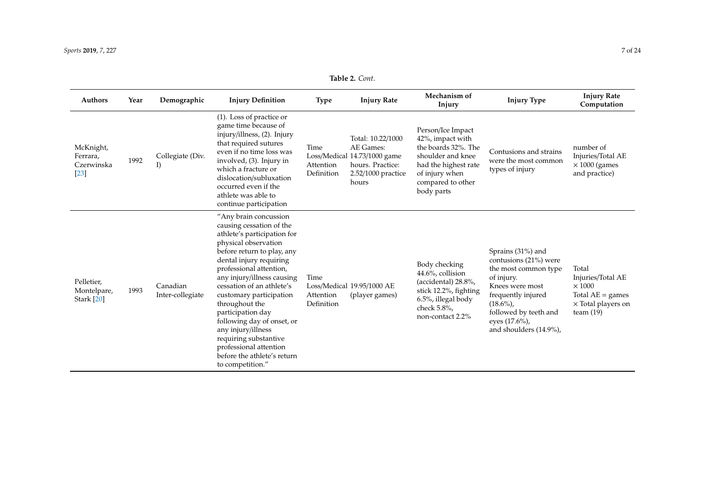#### *Sports* **2019**, *7*, 227 7 of 24

| <b>Authors</b>                              | Year | Demographic                  | <b>Injury Definition</b>                                                                                                                                                                                                                                                                                                                                                                                                                                                            | <b>Type</b>                     | <b>Injury Rate</b>                                                                                                | Mechanism of<br>Injury                                                                                                                                         | <b>Injury Type</b>                                                                                                                                                                                          | <b>Injury Rate</b><br>Computation                                                                             |
|---------------------------------------------|------|------------------------------|-------------------------------------------------------------------------------------------------------------------------------------------------------------------------------------------------------------------------------------------------------------------------------------------------------------------------------------------------------------------------------------------------------------------------------------------------------------------------------------|---------------------------------|-------------------------------------------------------------------------------------------------------------------|----------------------------------------------------------------------------------------------------------------------------------------------------------------|-------------------------------------------------------------------------------------------------------------------------------------------------------------------------------------------------------------|---------------------------------------------------------------------------------------------------------------|
| McKnight,<br>Ferrara,<br>Czerwinska<br>[23] | 1992 | Collegiate (Div.<br>I)       | $(1)$ . Loss of practice or<br>game time because of<br>injury/illness, (2). Injury<br>that required sutures<br>even if no time loss was<br>involved, (3). Injury in<br>which a fracture or<br>dislocation/subluxation<br>occurred even if the<br>athlete was able to<br>continue participation                                                                                                                                                                                      | Time<br>Attention<br>Definition | Total: 10.22/1000<br>AE Games:<br>Loss/Medical 14.73/1000 game<br>hours. Practice:<br>2.52/1000 practice<br>hours | Person/Ice Impact<br>42%, impact with<br>the boards 32%. The<br>shoulder and knee<br>had the highest rate<br>of injury when<br>compared to other<br>body parts | Contusions and strains<br>were the most common<br>types of injury                                                                                                                                           | number of<br>Injuries/Total AE<br>$\times$ 1000 (games<br>and practice)                                       |
| Pelletier,<br>Montelpare,<br>Stark [20]     | 1993 | Canadian<br>Inter-collegiate | "Any brain concussion<br>causing cessation of the<br>athlete's participation for<br>physical observation<br>before return to play, any<br>dental injury requiring<br>professional attention,<br>any injury/illness causing<br>cessation of an athlete's<br>customary participation<br>throughout the<br>participation day<br>following day of onset, or<br>any injury/illness<br>requiring substantive<br>professional attention<br>before the athlete's return<br>to competition." | Time<br>Attention<br>Definition | Loss/Medical 19.95/1000 AE<br>(player games)                                                                      | Body checking<br>44.6%, collision<br>(accidental) 28.8%,<br>stick 12.2%, fighting<br>6.5%, illegal body<br>check 5.8%,<br>non-contact 2.2%                     | Sprains (31%) and<br>contusions (21%) were<br>the most common type<br>of injury.<br>Knees were most<br>frequently injured<br>$(18.6\%)$<br>followed by teeth and<br>eyes (17.6%),<br>and shoulders (14.9%), | Total<br>Injuries/Total AE<br>$\times$ 1000<br>Total $AE =$ games<br>$\times$ Total players on<br>team $(19)$ |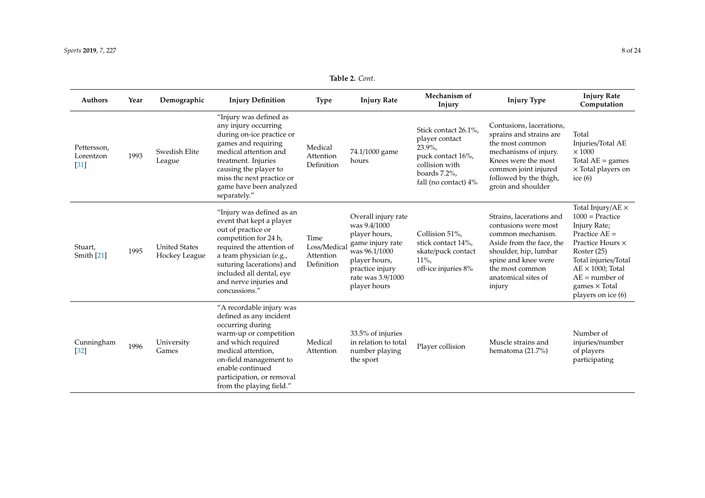| Table 2. Cont. |  |  |
|----------------|--|--|
|----------------|--|--|

| <b>Authors</b>                     | Year | Demographic                           | <b>Injury Definition</b>                                                                                                                                                                                                                                         | <b>Type</b>                                     | <b>Injury Rate</b>                                                                                                                                                 | Mechanism of<br>Injury                                                                                                            | <b>Injury Type</b>                                                                                                                                                                                    | <b>Injury Rate</b><br>Computation                                                                                                                                                                                                         |
|------------------------------------|------|---------------------------------------|------------------------------------------------------------------------------------------------------------------------------------------------------------------------------------------------------------------------------------------------------------------|-------------------------------------------------|--------------------------------------------------------------------------------------------------------------------------------------------------------------------|-----------------------------------------------------------------------------------------------------------------------------------|-------------------------------------------------------------------------------------------------------------------------------------------------------------------------------------------------------|-------------------------------------------------------------------------------------------------------------------------------------------------------------------------------------------------------------------------------------------|
| Pettersson,<br>Lorentzon<br>$[31]$ | 1993 | Swedish Elite<br>League               | "Injury was defined as<br>any injury occurring<br>during on-ice practice or<br>games and requiring<br>medical attention and<br>treatment. Injuries<br>causing the player to<br>miss the next practice or<br>game have been analyzed<br>separately."              | Medical<br>Attention<br>Definition              | 74.1/1000 game<br>hours                                                                                                                                            | Stick contact 26.1%,<br>player contact<br>$23.9\%$<br>puck contact 16%,<br>collision with<br>boards 7.2%,<br>fall (no contact) 4% | Contusions, lacerations,<br>sprains and strains are<br>the most common<br>mechanisms of injury.<br>Knees were the most<br>common joint injured<br>followed by the thigh,<br>groin and shoulder        | Total<br>Injuries/Total AE<br>$\times\,1000$<br>Total $AE =$ games<br>$\times$ Total players on<br>ice $(6)$                                                                                                                              |
| Stuart,<br>Smith $[21]$            | 1995 | <b>United States</b><br>Hockey League | "Injury was defined as an<br>event that kept a player<br>out of practice or<br>competition for 24 h,<br>required the attention of<br>a team physician (e.g.,<br>suturing lacerations) and<br>included all dental, eye<br>and nerve injuries and<br>concussions." | Time<br>Loss/Medical<br>Attention<br>Definition | Overall injury rate<br>was 9.4/1000<br>player hours,<br>game injury rate<br>was 96.1/1000<br>player hours,<br>practice injury<br>rate was 3.9/1000<br>player hours | Collision 51%,<br>stick contact 14%,<br>skate/puck contact<br>$11\%$ ,<br>off-ice injuries 8%                                     | Strains, lacerations and<br>contusions were most<br>common mechanism.<br>Aside from the face, the<br>shoulder, hip, lumbar<br>spine and knee were<br>the most common<br>anatomical sites of<br>injury | Total Injury/AE $\times$<br>$1000 = Practice$<br>Injury Rate;<br>Practice $AE =$<br>Practice Hours ×<br>Roster (25)<br>Total injuries/Total<br>$AE \times 1000$ ; Total<br>$AE = number of$<br>games $\times$ Total<br>players on ice (6) |
| Cunningham<br>$[32]$               | 1996 | University<br>Games                   | "A recordable injury was<br>defined as any incident<br>occurring during<br>warm-up or competition<br>and which required<br>medical attention,<br>on-field management to<br>enable continued<br>participation, or removal<br>from the playing field."             | Medical<br>Attention                            | 33.5% of injuries<br>in relation to total<br>number playing<br>the sport                                                                                           | Player collision                                                                                                                  | Muscle strains and<br>hematoma (21.7%)                                                                                                                                                                | Number of<br>injuries/number<br>of players<br>participating                                                                                                                                                                               |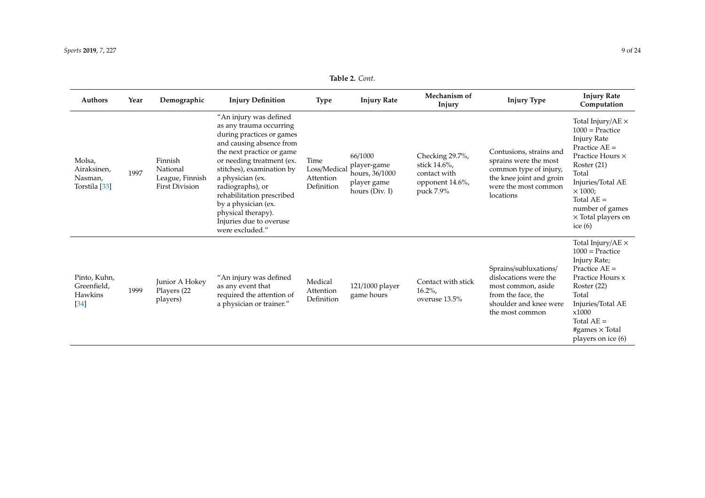#### *Sports* **2019**, *7*, 227 9 of 24

| <b>Authors</b>                                               | Year | Demographic                                                     | <b>Injury Definition</b>                                                                                                                                                                                                                                                                                                                                          | <b>Type</b>                                     | <b>Injury Rate</b>                                                        | Mechanism of<br>Injury                                                          | <b>Injury Type</b>                                                                                                                          | <b>Injury Rate</b><br>Computation                                                                                                                                                                                                                        |
|--------------------------------------------------------------|------|-----------------------------------------------------------------|-------------------------------------------------------------------------------------------------------------------------------------------------------------------------------------------------------------------------------------------------------------------------------------------------------------------------------------------------------------------|-------------------------------------------------|---------------------------------------------------------------------------|---------------------------------------------------------------------------------|---------------------------------------------------------------------------------------------------------------------------------------------|----------------------------------------------------------------------------------------------------------------------------------------------------------------------------------------------------------------------------------------------------------|
| Molsa,<br>Airaksinen,<br>Nasman,<br>Torstila <sup>[33]</sup> | 1997 | Finnish<br>National<br>League, Finnish<br><b>First Division</b> | "An injury was defined<br>as any trauma occurring<br>during practices or games<br>and causing absence from<br>the next practice or game<br>or needing treatment (ex.<br>stitches), examination by<br>a physician (ex.<br>radiographs), or<br>rehabilitation prescribed<br>by a physician (ex.<br>physical therapy).<br>Injuries due to overuse<br>were excluded." | Time<br>Loss/Medical<br>Attention<br>Definition | 66/1000<br>player-game<br>hours, 36/1000<br>player game<br>hours (Div. I) | Checking 29.7%,<br>stick 14.6%,<br>contact with<br>opponent 14.6%,<br>puck 7.9% | Contusions, strains and<br>sprains were the most<br>common type of injury,<br>the knee joint and groin<br>were the most common<br>locations | Total Injury/AE $\times$<br>$1000 =$ Practice<br><b>Injury Rate</b><br>Practice $AE =$<br>Practice Hours ×<br>Roster $(21)$<br>Total<br>Injuries/Total AE<br>$\times$ 1000;<br>Total $AE =$<br>number of games<br>$\times$ Total players on<br>ice $(6)$ |
| Pinto, Kuhn,<br>Greenfield,<br>Hawkins<br>$[34]$             | 1999 | Junior A Hokey<br>Players (22<br>players)                       | "An injury was defined<br>as any event that<br>required the attention of<br>a physician or trainer."                                                                                                                                                                                                                                                              | Medical<br>Attention<br>Definition              | 121/1000 player<br>game hours                                             | Contact with stick<br>$16.2\%$<br>overuse 13.5%                                 | Sprains/subluxations/<br>dislocations were the<br>most common, aside<br>from the face, the<br>shoulder and knee were<br>the most common     | Total Injury/AE $\times$<br>$1000 = Practice$<br>Injury Rate;<br>Practice $AE =$<br>Practice Hours x<br>Roster $(22)$<br>Total<br>Injuries/Total AE<br>x1000<br>Total $AE =$<br>#games $\times$ Total<br>players on ice (6)                              |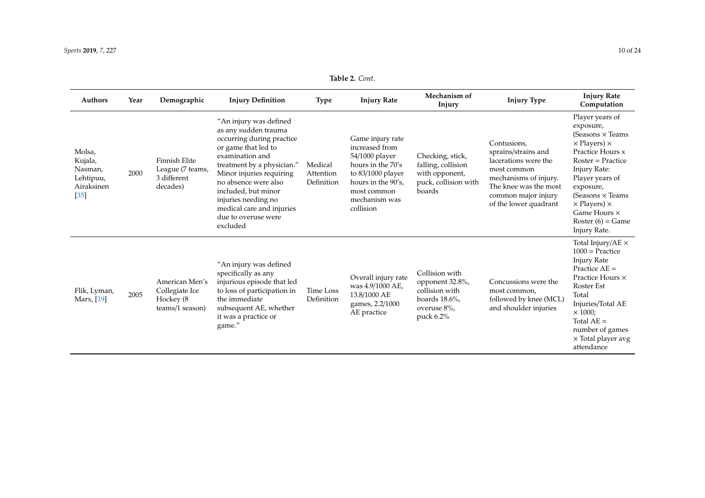#### *Sports* **2019**, *7*, 227 10 of 24

| <b>Authors</b>                                                    | Year | Demographic                                                       | <b>Injury Definition</b>                                                                                                                                                                                                                                                                                              | <b>Type</b>                        | <b>Injury Rate</b>                                                                                                                                                  | Mechanism of<br>Injury                                                                               | <b>Injury Type</b>                                                                                                                                                          | <b>Injury Rate</b><br>Computation                                                                                                                                                                                                                                                                |
|-------------------------------------------------------------------|------|-------------------------------------------------------------------|-----------------------------------------------------------------------------------------------------------------------------------------------------------------------------------------------------------------------------------------------------------------------------------------------------------------------|------------------------------------|---------------------------------------------------------------------------------------------------------------------------------------------------------------------|------------------------------------------------------------------------------------------------------|-----------------------------------------------------------------------------------------------------------------------------------------------------------------------------|--------------------------------------------------------------------------------------------------------------------------------------------------------------------------------------------------------------------------------------------------------------------------------------------------|
| Molsa,<br>Kujala,<br>Nasman,<br>Lehtipuu,<br>Airaksinen<br>$[35]$ | 2000 | Finnish Elite<br>League (7 teams,<br>3 different<br>decades)      | "An injury was defined<br>as any sudden trauma<br>occurring during practice<br>or game that led to<br>examination and<br>treatment by a physician."<br>Minor injuries requiring<br>no absence were also<br>included, but minor<br>injuries needing no<br>medical care and injuries<br>due to overuse were<br>excluded | Medical<br>Attention<br>Definition | Game injury rate<br>increased from<br>54/1000 player<br>hours in the 70's<br>to $83/1000$ player<br>hours in the 90's.<br>most common<br>mechanism was<br>collision | Checking, stick,<br>falling, collision<br>with opponent,<br>puck, collision with<br>boards           | Contusions,<br>sprains/strains and<br>lacerations were the<br>most common<br>mechanisms of injury.<br>The knee was the most<br>common major injury<br>of the lower quadrant | Player years of<br>exposure,<br>(Seasons $\times$ Teams<br>$\times$ Players) $\times$<br>Practice Hours x<br>$Roster = Practice$<br>Injury Rate:<br>Player years of<br>exposure,<br>(Seasons $\times$ Teams<br>$\times$ Players) $\times$<br>Game Hours ×<br>Roster $(6)$ = Game<br>Injury Rate. |
| Flik, Lyman,<br>Marx, [19]                                        | 2005 | American Men's<br>Collegiate Ice<br>Hockey (8)<br>teams/1 season) | "An injury was defined<br>specifically as any<br>injurious episode that led<br>to loss of participation in<br>the immediate<br>subsequent AE, whether<br>it was a practice or<br>game."                                                                                                                               | Time Loss<br>Definition            | Overall injury rate<br>was 4.9/1000 AE,<br>13.8/1000 AE<br>games, 2.2/1000<br>AE practice                                                                           | Collision with<br>opponent 32.8%,<br>collision with<br>boards $18.6\%$ ,<br>overuse 8%.<br>puck 6.2% | Concussions were the<br>most common,<br>followed by knee (MCL)<br>and shoulder injuries                                                                                     | Total Injury/AE $\times$<br>$1000 = Practice$<br><b>Injury Rate</b><br>Practice $AE =$<br>Practice Hours ×<br>Roster Est<br>Total<br>Injuries/Total AE<br>$\times$ 1000;<br>Total $AE =$<br>number of games<br>$\times$ Total player avg<br>attendance                                           |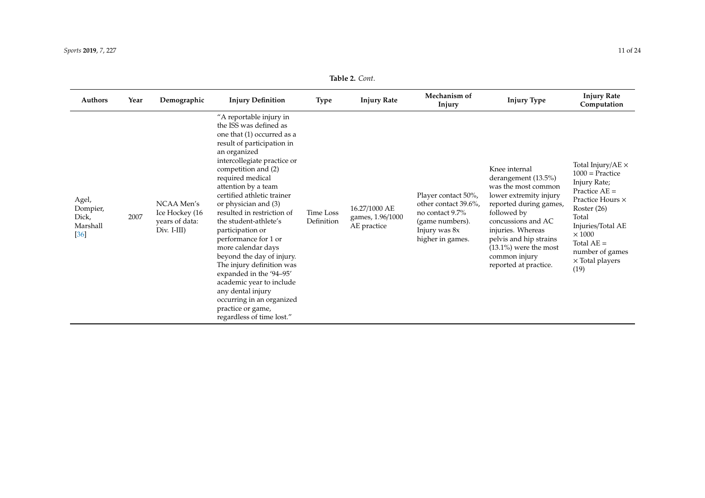#### *Sports* **2019**, *7*, 227 11 of 24

| Authors                                          | Year | Demographic                                                     | <b>Injury Definition</b>                                                                                                                                                                                                                                                                                                                                                                                                                                                                                                                                                                                                           | <b>Type</b>             | <b>Injury Rate</b>                               | Mechanism of<br>Injury                                                                                                 | <b>Injury Type</b>                                                                                                                                                                                                                                                        | <b>Injury Rate</b><br>Computation                                                                                                                                                                                                         |
|--------------------------------------------------|------|-----------------------------------------------------------------|------------------------------------------------------------------------------------------------------------------------------------------------------------------------------------------------------------------------------------------------------------------------------------------------------------------------------------------------------------------------------------------------------------------------------------------------------------------------------------------------------------------------------------------------------------------------------------------------------------------------------------|-------------------------|--------------------------------------------------|------------------------------------------------------------------------------------------------------------------------|---------------------------------------------------------------------------------------------------------------------------------------------------------------------------------------------------------------------------------------------------------------------------|-------------------------------------------------------------------------------------------------------------------------------------------------------------------------------------------------------------------------------------------|
| Agel,<br>Dompier,<br>Dick,<br>Marshall<br>$[36]$ | 2007 | NCAA Men's<br>Ice Hockey (16<br>years of data:<br>$Div. I-III)$ | "A reportable injury in<br>the ISS was defined as<br>one that (1) occurred as a<br>result of participation in<br>an organized<br>intercollegiate practice or<br>competition and (2)<br>required medical<br>attention by a team<br>certified athletic trainer<br>or physician and (3)<br>resulted in restriction of<br>the student-athlete's<br>participation or<br>performance for 1 or<br>more calendar days<br>beyond the day of injury.<br>The injury definition was<br>expanded in the '94-95'<br>academic year to include<br>any dental injury<br>occurring in an organized<br>practice or game,<br>regardless of time lost." | Time Loss<br>Definition | 16.27/1000 AE<br>games, 1.96/1000<br>AE practice | Player contact 50%,<br>other contact 39.6%,<br>no contact 9.7%<br>(game numbers).<br>Injury was 8x<br>higher in games. | Knee internal<br>derangement (13.5%)<br>was the most common<br>lower extremity injury<br>reported during games,<br>followed by<br>concussions and AC<br>injuries. Whereas<br>pelvis and hip strains<br>$(13.1\%)$ were the most<br>common injury<br>reported at practice. | Total Injury/AE $\times$<br>$1000 =$ Practice<br>Injury Rate;<br>Practice $AE =$<br>Practice Hours ×<br>Roster $(26)$<br>Total<br>Injuries/Total AE<br>$\times$ 1000<br>Total $AE =$<br>number of games<br>$\times$ Total players<br>(19) |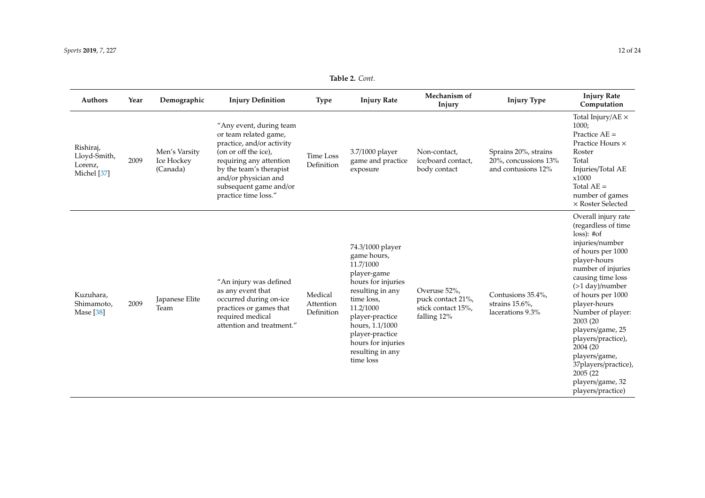#### *Sports* **2019**, *7*, 227 12 of 24

| Authors                                             | Year | Demographic                             | <b>Injury Definition</b>                                                                                                                                                                                                              | <b>Type</b>                        | <b>Injury Rate</b>                                                                                                                                                                                                                               | Mechanism of<br>Injury                                                 | <b>Injury Type</b>                                                 | <b>Injury Rate</b><br>Computation                                                                                                                                                                                                                                                                                                                                                                            |
|-----------------------------------------------------|------|-----------------------------------------|---------------------------------------------------------------------------------------------------------------------------------------------------------------------------------------------------------------------------------------|------------------------------------|--------------------------------------------------------------------------------------------------------------------------------------------------------------------------------------------------------------------------------------------------|------------------------------------------------------------------------|--------------------------------------------------------------------|--------------------------------------------------------------------------------------------------------------------------------------------------------------------------------------------------------------------------------------------------------------------------------------------------------------------------------------------------------------------------------------------------------------|
| Rishiraj,<br>Lloyd-Smith,<br>Lorenz,<br>Michel [37] | 2009 | Men's Varsity<br>Ice Hockey<br>(Canada) | "Any event, during team<br>or team related game,<br>practice, and/or activity<br>(on or off the ice),<br>requiring any attention<br>by the team's therapist<br>and/or physician and<br>subsequent game and/or<br>practice time loss." | Time Loss<br>Definition            | 3.7/1000 player<br>game and practice<br>exposure                                                                                                                                                                                                 | Non-contact,<br>ice/board contact,<br>body contact                     | Sprains 20%, strains<br>20%, concussions 13%<br>and contusions 12% | Total Injury/AE $\times$<br>1000;<br>Practice $AE =$<br>Practice Hours ×<br>Roster<br>Total<br>Injuries/Total AE<br>x1000<br>Total $AE =$<br>number of games<br>× Roster Selected                                                                                                                                                                                                                            |
| Kuzuhara,<br>Shimamoto,<br>Mase [38]                | 2009 | Japanese Elite<br>Team                  | "An injury was defined<br>as any event that<br>occurred during on-ice<br>practices or games that<br>required medical<br>attention and treatment."                                                                                     | Medical<br>Attention<br>Definition | 74.3/1000 player<br>game hours,<br>11.7/1000<br>player-game<br>hours for injuries<br>resulting in any<br>time loss,<br>11.2/1000<br>player-practice<br>hours, 1.1/1000<br>player-practice<br>hours for injuries<br>resulting in any<br>time loss | Overuse 52%,<br>puck contact 21%,<br>stick contact 15%,<br>falling 12% | Contusions 35.4%,<br>strains 15.6%,<br>lacerations 9.3%            | Overall injury rate<br>(regardless of time<br>loss): #of<br>injuries/number<br>of hours per 1000<br>player-hours<br>number of injuries<br>causing time loss<br>$($ >1 day)/number<br>of hours per 1000<br>player-hours<br>Number of player:<br>2003 (20<br>players/game, 25<br>players/practice),<br>2004 (20<br>players/game,<br>37players/practice),<br>2005 (22)<br>players/game, 32<br>players/practice) |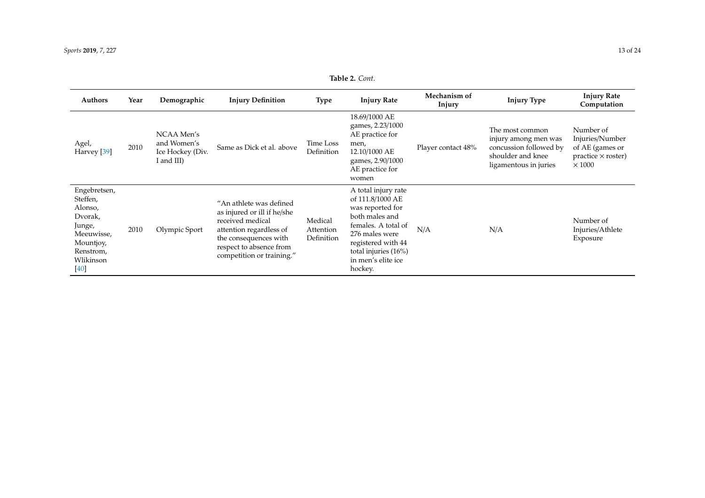| <b>Authors</b>                                                                                                        | Year | Demographic                                                 | <b>Injury Definition</b>                                                                                                                                                               | <b>Type</b>                        | <b>Injury Rate</b>                                                                                                                                                                                    | Mechanism of<br>Injury | <b>Injury Type</b>                                                                                              | <b>Injury Rate</b><br>Computation                                                             |
|-----------------------------------------------------------------------------------------------------------------------|------|-------------------------------------------------------------|----------------------------------------------------------------------------------------------------------------------------------------------------------------------------------------|------------------------------------|-------------------------------------------------------------------------------------------------------------------------------------------------------------------------------------------------------|------------------------|-----------------------------------------------------------------------------------------------------------------|-----------------------------------------------------------------------------------------------|
| Agel,<br>Harvey [39]                                                                                                  | 2010 | NCAA Men's<br>and Women's<br>Ice Hockey (Div.<br>I and III) | Same as Dick et al. above                                                                                                                                                              | Time Loss<br>Definition            | 18.69/1000 AE<br>games, 2.23/1000<br>AE practice for<br>men,<br>12.10/1000 AE<br>games, 2.90/1000<br>AE practice for<br>women                                                                         | Player contact 48%     | The most common<br>injury among men was<br>concussion followed by<br>shoulder and knee<br>ligamentous in juries | Number of<br>Injuries/Number<br>of AE (games or<br>$practive \times roster)$<br>$\times$ 1000 |
| Engebretsen,<br>Steffen,<br>Alonso,<br>Dvorak,<br>Junge,<br>Meeuwisse,<br>Mountjoy,<br>Renstrom,<br>Wlikinson<br>[40] | 2010 | Olympic Sport                                               | "An athlete was defined<br>as injured or ill if he/she<br>received medical<br>attention regardless of<br>the consequences with<br>respect to absence from<br>competition or training." | Medical<br>Attention<br>Definition | A total injury rate<br>of 111.8/1000 AE<br>was reported for<br>both males and<br>females. A total of<br>276 males were<br>registered with 44<br>total injuries (16%)<br>in men's elite ice<br>hockey. | N/A                    | N/A                                                                                                             | Number of<br>Injuries/Athlete<br>Exposure                                                     |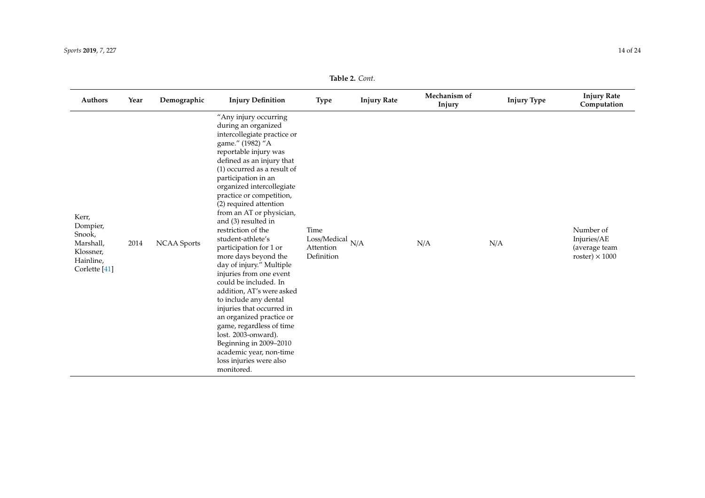#### *Sports* **2019**, *7*, 227 14 of 24

| <b>Authors</b>                                                                                 | Year | Demographic        | <b>Injury Definition</b>                                                                                                                                                                                                                                                                                                                                                                                                                                                                                                                                                                                                                                                                                                                                                                         | <b>Type</b>                                            | <b>Injury Rate</b> | Mechanism of<br>Injury | <b>Injury Type</b> | <b>Injury Rate</b><br>Computation                                  |
|------------------------------------------------------------------------------------------------|------|--------------------|--------------------------------------------------------------------------------------------------------------------------------------------------------------------------------------------------------------------------------------------------------------------------------------------------------------------------------------------------------------------------------------------------------------------------------------------------------------------------------------------------------------------------------------------------------------------------------------------------------------------------------------------------------------------------------------------------------------------------------------------------------------------------------------------------|--------------------------------------------------------|--------------------|------------------------|--------------------|--------------------------------------------------------------------|
| Kerr,<br>Dompier,<br>Snook,<br>Marshall,<br>Klossner,<br>Hainline,<br>Corlette <sup>[41]</sup> | 2014 | <b>NCAA</b> Sports | "Any injury occurring<br>during an organized<br>intercollegiate practice or<br>game." (1982) "A<br>reportable injury was<br>defined as an injury that<br>$(1)$ occurred as a result of<br>participation in an<br>organized intercollegiate<br>practice or competition,<br>(2) required attention<br>from an AT or physician,<br>and (3) resulted in<br>restriction of the<br>student-athlete's<br>participation for 1 or<br>more days beyond the<br>day of injury." Multiple<br>injuries from one event<br>could be included. In<br>addition, AT's were asked<br>to include any dental<br>injuries that occurred in<br>an organized practice or<br>game, regardless of time<br>lost. 2003-onward).<br>Beginning in 2009-2010<br>academic year, non-time<br>loss injuries were also<br>monitored. | Time<br>Loss/Medical<br>N/A<br>Attention<br>Definition |                    | N/A                    | N/A                | Number of<br>Injuries/AE<br>(average team<br>roster) $\times$ 1000 |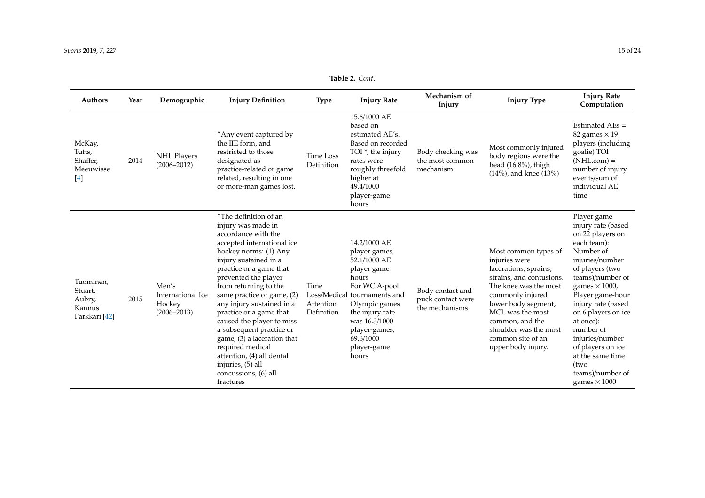| <b>Authors</b>                                            | Year | Demographic                                             | <b>Injury Definition</b>                                                                                                                                                                                                                                                                                                                                                                                                                                                                                                | <b>Type</b>                     | <b>Injury Rate</b>                                                                                                                                                                                                                | Mechanism of<br>Injury                                  | <b>Injury Type</b>                                                                                                                                                                                                                                                        | <b>Injury Rate</b><br>Computation                                                                                                                                                                                                                                                                                                                                             |
|-----------------------------------------------------------|------|---------------------------------------------------------|-------------------------------------------------------------------------------------------------------------------------------------------------------------------------------------------------------------------------------------------------------------------------------------------------------------------------------------------------------------------------------------------------------------------------------------------------------------------------------------------------------------------------|---------------------------------|-----------------------------------------------------------------------------------------------------------------------------------------------------------------------------------------------------------------------------------|---------------------------------------------------------|---------------------------------------------------------------------------------------------------------------------------------------------------------------------------------------------------------------------------------------------------------------------------|-------------------------------------------------------------------------------------------------------------------------------------------------------------------------------------------------------------------------------------------------------------------------------------------------------------------------------------------------------------------------------|
| McKay,<br>Tufts,<br>Shaffer,<br>Meeuwisse<br>[4]          | 2014 | <b>NHL Players</b><br>$(2006 - 2012)$                   | "Any event captured by<br>the IIE form, and<br>restricted to those<br>designated as<br>practice-related or game<br>related, resulting in one<br>or more-man games lost.                                                                                                                                                                                                                                                                                                                                                 | Time Loss<br>Definition         | 15.6/1000 AE<br>based on<br>estimated AE's.<br>Based on recorded<br>TOI *, the injury<br>rates were<br>roughly threefold<br>higher at<br>49.4/1000<br>player-game<br>hours                                                        | Body checking was<br>the most common<br>mechanism       | Most commonly injured<br>body regions were the<br>head (16.8%), thigh<br>$(14%)$ , and knee $(13%)$                                                                                                                                                                       | Estimated $AEs =$<br>82 games $\times$ 19<br>players (including<br>goalie) TOI<br>$(NHL.com) =$<br>number of injury<br>events/sum of<br>individual AE<br>time                                                                                                                                                                                                                 |
| Tuominen,<br>Stuart,<br>Aubry,<br>Kannus<br>Parkkari [42] | 2015 | Men's<br>International Ice<br>Hockey<br>$(2006 - 2013)$ | "The definition of an<br>injury was made in<br>accordance with the<br>accepted international ice<br>hockey norms: (1) Any<br>injury sustained in a<br>practice or a game that<br>prevented the player<br>from returning to the<br>same practice or game, (2)<br>any injury sustained in a<br>practice or a game that<br>caused the player to miss<br>a subsequent practice or<br>game, (3) a laceration that<br>required medical<br>attention, (4) all dental<br>injuries, (5) all<br>concussions, (6) all<br>fractures | Time<br>Attention<br>Definition | 14.2/1000 AE<br>player games,<br>52.1/1000 AE<br>player game<br>hours<br>For WC A-pool<br>Loss/Medical tournaments and<br>Olympic games<br>the injury rate<br>was 16.3/1000<br>player-games,<br>69.6/1000<br>player-game<br>hours | Body contact and<br>puck contact were<br>the mechanisms | Most common types of<br>injuries were<br>lacerations, sprains,<br>strains, and contusions.<br>The knee was the most<br>commonly injured<br>lower body segment,<br>MCL was the most<br>common, and the<br>shoulder was the most<br>common site of an<br>upper body injury. | Player game<br>injury rate (based<br>on 22 players on<br>each team):<br>Number of<br>injuries/number<br>of players (two<br>teams)/number of<br>games $\times$ 1000,<br>Player game-hour<br>injury rate (based<br>on 6 players on ice<br>at once):<br>number of<br>injuries/number<br>of players on ice<br>at the same time<br>(two<br>teams)/number of<br>games $\times$ 1000 |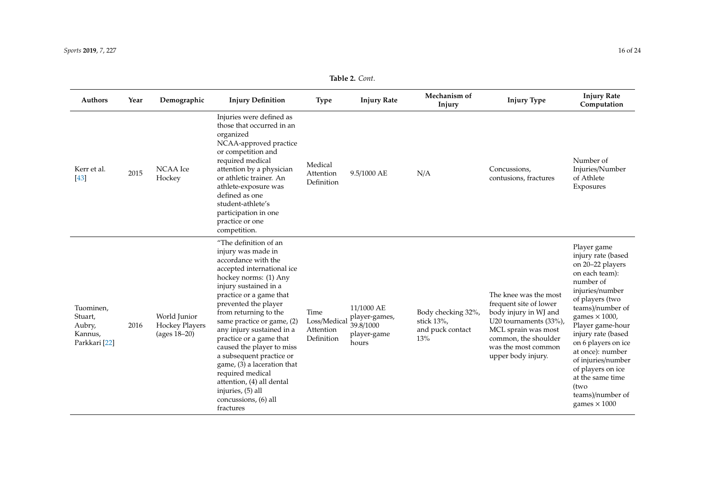| Authors                                                    | Year | Demographic                                                | <b>Injury Definition</b>                                                                                                                                                                                                                                                                                                                                                                                                                                                                                                | <b>Type</b>                                     | <b>Injury Rate</b>                                               | Mechanism of<br>Injury                                          | <b>Injury Type</b>                                                                                                                                                                             | <b>Injury Rate</b><br>Computation                                                                                                                                                                                                                                                                                                                                             |
|------------------------------------------------------------|------|------------------------------------------------------------|-------------------------------------------------------------------------------------------------------------------------------------------------------------------------------------------------------------------------------------------------------------------------------------------------------------------------------------------------------------------------------------------------------------------------------------------------------------------------------------------------------------------------|-------------------------------------------------|------------------------------------------------------------------|-----------------------------------------------------------------|------------------------------------------------------------------------------------------------------------------------------------------------------------------------------------------------|-------------------------------------------------------------------------------------------------------------------------------------------------------------------------------------------------------------------------------------------------------------------------------------------------------------------------------------------------------------------------------|
| Kerr et al.<br>[43]                                        | 2015 | <b>NCAA</b> Ice<br>Hockey                                  | Injuries were defined as<br>those that occurred in an<br>organized<br>NCAA-approved practice<br>or competition and<br>required medical<br>attention by a physician<br>or athletic trainer. An<br>athlete-exposure was<br>defined as one<br>student-athlete's<br>participation in one<br>practice or one<br>competition.                                                                                                                                                                                                 | Medical<br>Attention<br>Definition              | 9.5/1000 AE                                                      | N/A                                                             | Concussions.<br>contusions, fractures                                                                                                                                                          | Number of<br>Injuries/Number<br>of Athlete<br>Exposures                                                                                                                                                                                                                                                                                                                       |
| Tuominen,<br>Stuart,<br>Aubry,<br>Kannus,<br>Parkkari [22] | 2016 | World Junior<br><b>Hockey Players</b><br>(ages $18 - 20$ ) | "The definition of an<br>injury was made in<br>accordance with the<br>accepted international ice<br>hockey norms: (1) Any<br>injury sustained in a<br>practice or a game that<br>prevented the player<br>from returning to the<br>same practice or game, (2)<br>any injury sustained in a<br>practice or a game that<br>caused the player to miss<br>a subsequent practice or<br>game, (3) a laceration that<br>required medical<br>attention, (4) all dental<br>injuries, (5) all<br>concussions, (6) all<br>fractures | Time<br>Loss/Medical<br>Attention<br>Definition | 11/1000 AE<br>player-games,<br>39.8/1000<br>player-game<br>hours | Body checking 32%,<br>stick $13\%$ .<br>and puck contact<br>13% | The knee was the most<br>frequent site of lower<br>body injury in WJ and<br>U20 tournaments (33%),<br>MCL sprain was most<br>common, the shoulder<br>was the most common<br>upper body injury. | Player game<br>injury rate (based<br>on 20–22 players<br>on each team):<br>number of<br>injuries/number<br>of players (two<br>teams)/number of<br>games $\times$ 1000,<br>Player game-hour<br>injury rate (based<br>on 6 players on ice<br>at once): number<br>of injuries/number<br>of players on ice<br>at the same time<br>(two<br>teams)/number of<br>games $\times$ 1000 |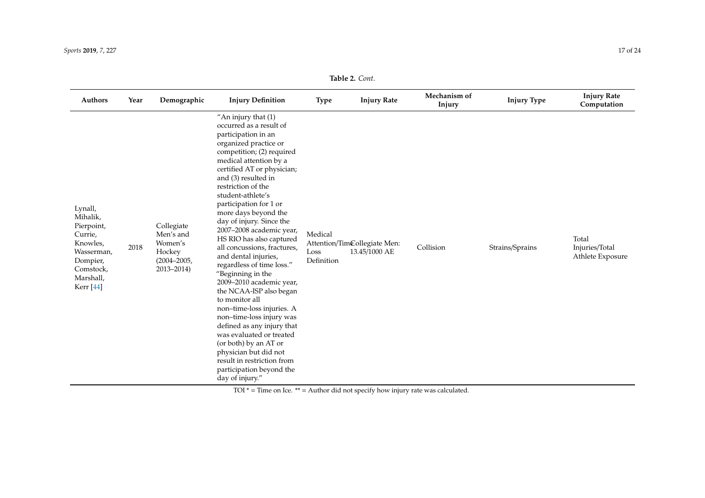#### *Sports* **2019**, *7*, 227 17 of 24

### **Table 2.** *Cont*.

| Authors                                                                                                                              | Year | Demographic                                                                      | <b>Injury Definition</b>                                                                                                                                                                                                                                                                                                                                                                                                                                                                                                                                                                                                                                                                                                                                                                                                          | <b>Type</b>                   | <b>Injury Rate</b>                            | Mechanism of<br>Injury | <b>Injury Type</b> | <b>Injury Rate</b><br>Computation           |
|--------------------------------------------------------------------------------------------------------------------------------------|------|----------------------------------------------------------------------------------|-----------------------------------------------------------------------------------------------------------------------------------------------------------------------------------------------------------------------------------------------------------------------------------------------------------------------------------------------------------------------------------------------------------------------------------------------------------------------------------------------------------------------------------------------------------------------------------------------------------------------------------------------------------------------------------------------------------------------------------------------------------------------------------------------------------------------------------|-------------------------------|-----------------------------------------------|------------------------|--------------------|---------------------------------------------|
| Lynall,<br>Mihalik,<br>Pierpoint,<br>Currie,<br>Knowles,<br>Wasserman,<br>Dompier,<br>Comstock,<br>Marshall,<br>Kerr <sup>[44]</sup> | 2018 | Collegiate<br>Men's and<br>Women's<br>Hockey<br>$(2004 - 2005,$<br>$2013 - 2014$ | "An injury that $(1)$<br>occurred as a result of<br>participation in an<br>organized practice or<br>competition; (2) required<br>medical attention by a<br>certified AT or physician;<br>and (3) resulted in<br>restriction of the<br>student-athlete's<br>participation for 1 or<br>more days beyond the<br>day of injury. Since the<br>2007-2008 academic year,<br>HS RIO has also captured<br>all concussions, fractures,<br>and dental injuries,<br>regardless of time loss."<br>"Beginning in the<br>2009-2010 academic year,<br>the NCAA-ISP also began<br>to monitor all<br>non-time-loss injuries. A<br>non-time-loss injury was<br>defined as any injury that<br>was evaluated or treated<br>(or both) by an AT or<br>physician but did not<br>result in restriction from<br>participation beyond the<br>day of injury." | Medical<br>Loss<br>Definition | Attention/TimCollegiate Men:<br>13.45/1000 AE | Collision              | Strains/Sprains    | Total<br>Injuries/Total<br>Athlete Exposure |

TOI \* = Time on Ice. \*\* = Author did not specify how injury rate was calculated.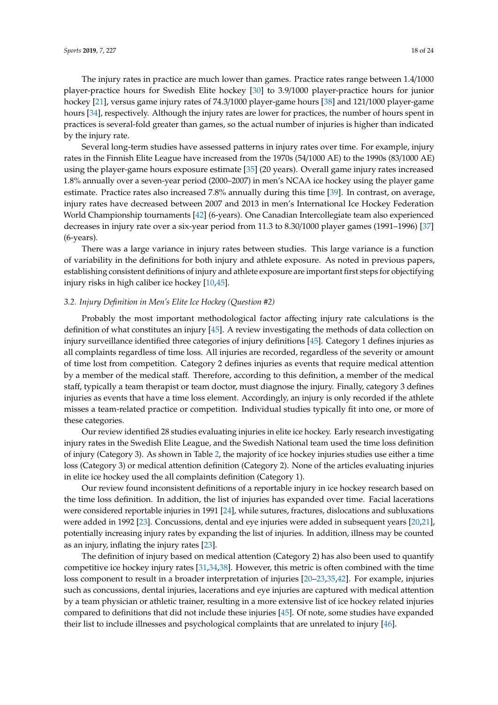The injury rates in practice are much lower than games. Practice rates range between 1.4/1000 player-practice hours for Swedish Elite hockey [\[30\]](#page-22-26) to 3.9/1000 player-practice hours for junior hockey [\[21\]](#page-21-19), versus game injury rates of 74.3/1000 player-game hours [\[38\]](#page-22-27) and 121/1000 player-game hours [\[34\]](#page-22-22), respectively. Although the injury rates are lower for practices, the number of hours spent in practices is several-fold greater than games, so the actual number of injuries is higher than indicated by the injury rate.

Several long-term studies have assessed patterns in injury rates over time. For example, injury rates in the Finnish Elite League have increased from the 1970s (54/1000 AE) to the 1990s (83/1000 AE) using the player-game hours exposure estimate [\[35\]](#page-22-28) (20 years). Overall game injury rates increased 1.8% annually over a seven-year period (2000–2007) in men's NCAA ice hockey using the player game estimate. Practice rates also increased 7.8% annually during this time [\[39\]](#page-22-29). In contrast, on average, injury rates have decreased between 2007 and 2013 in men's International Ice Hockey Federation World Championship tournaments [\[42\]](#page-22-30) (6-years). One Canadian Intercollegiate team also experienced decreases in injury rate over a six-year period from 11.3 to 8.30/1000 player games (1991–1996) [\[37\]](#page-22-31) (6-years).

There was a large variance in injury rates between studies. This large variance is a function of variability in the definitions for both injury and athlete exposure. As noted in previous papers, establishing consistent definitions of injury and athlete exposure are important first steps for objectifying injury risks in high caliber ice hockey [\[10](#page-21-8)[,45\]](#page-22-32).

#### *3.2. Injury Definition in Men's Elite Ice Hockey (Question #2)*

Probably the most important methodological factor affecting injury rate calculations is the definition of what constitutes an injury [\[45\]](#page-22-32). A review investigating the methods of data collection on injury surveillance identified three categories of injury definitions [\[45\]](#page-22-32). Category 1 defines injuries as all complaints regardless of time loss. All injuries are recorded, regardless of the severity or amount of time lost from competition. Category 2 defines injuries as events that require medical attention by a member of the medical staff. Therefore, according to this definition, a member of the medical staff, typically a team therapist or team doctor, must diagnose the injury. Finally, category 3 defines injuries as events that have a time loss element. Accordingly, an injury is only recorded if the athlete misses a team-related practice or competition. Individual studies typically fit into one, or more of these categories.

Our review identified 28 studies evaluating injuries in elite ice hockey. Early research investigating injury rates in the Swedish Elite League, and the Swedish National team used the time loss definition of injury (Category 3). As shown in Table [2,](#page-4-0) the majority of ice hockey injuries studies use either a time loss (Category 3) or medical attention definition (Category 2). None of the articles evaluating injuries in elite ice hockey used the all complaints definition (Category 1).

Our review found inconsistent definitions of a reportable injury in ice hockey research based on the time loss definition. In addition, the list of injuries has expanded over time. Facial lacerations were considered reportable injuries in 1991 [\[24\]](#page-22-2), while sutures, fractures, dislocations and subluxations were added in 1992 [\[23\]](#page-22-1). Concussions, dental and eye injuries were added in subsequent years [\[20](#page-21-18)[,21\]](#page-21-19), potentially increasing injury rates by expanding the list of injuries. In addition, illness may be counted as an injury, inflating the injury rates [\[23\]](#page-22-1).

The definition of injury based on medical attention (Category 2) has also been used to quantify competitive ice hockey injury rates [\[31](#page-22-33)[,34](#page-22-22)[,38\]](#page-22-27). However, this metric is often combined with the time loss component to result in a broader interpretation of injuries [\[20](#page-21-18)[–23](#page-22-1)[,35](#page-22-28)[,42\]](#page-22-30). For example, injuries such as concussions, dental injuries, lacerations and eye injuries are captured with medical attention by a team physician or athletic trainer, resulting in a more extensive list of ice hockey related injuries compared to definitions that did not include these injuries [\[45\]](#page-22-32). Of note, some studies have expanded their list to include illnesses and psychological complaints that are unrelated to injury [\[46\]](#page-23-0).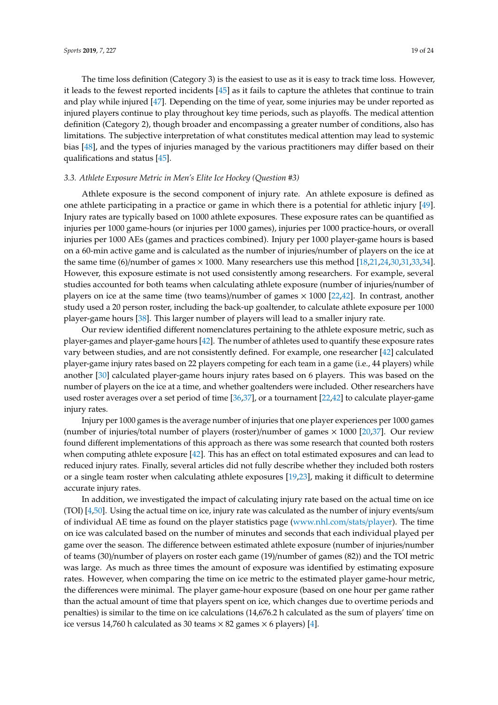The time loss definition (Category 3) is the easiest to use as it is easy to track time loss. However, it leads to the fewest reported incidents [\[45\]](#page-22-32) as it fails to capture the athletes that continue to train and play while injured [\[47\]](#page-23-1). Depending on the time of year, some injuries may be under reported as injured players continue to play throughout key time periods, such as playoffs. The medical attention definition (Category 2), though broader and encompassing a greater number of conditions, also has limitations. The subjective interpretation of what constitutes medical attention may lead to systemic bias [\[48\]](#page-23-2), and the types of injuries managed by the various practitioners may differ based on their qualifications and status [\[45\]](#page-22-32).

### *3.3. Athlete Exposure Metric in Men's Elite Ice Hockey (Question #3)*

Athlete exposure is the second component of injury rate. An athlete exposure is defined as one athlete participating in a practice or game in which there is a potential for athletic injury [\[49\]](#page-23-3). Injury rates are typically based on 1000 athlete exposures. These exposure rates can be quantified as injuries per 1000 game-hours (or injuries per 1000 games), injuries per 1000 practice-hours, or overall injuries per 1000 AEs (games and practices combined). Injury per 1000 player-game hours is based on a 60-min active game and is calculated as the number of injuries/number of players on the ice at the same time (6)/number of games × 1000. Many researchers use this method [\[18,](#page-21-16)[21,](#page-21-19)[24,](#page-22-2)[30,](#page-22-26)[31,](#page-22-33)[33,](#page-22-34)[34\]](#page-22-22). However, this exposure estimate is not used consistently among researchers. For example, several studies accounted for both teams when calculating athlete exposure (number of injuries/number of players on ice at the same time (two teams)/number of games × 1000 [\[22](#page-22-0)[,42\]](#page-22-30). In contrast, another study used a 20 person roster, including the back-up goaltender, to calculate athlete exposure per 1000 player-game hours [\[38\]](#page-22-27). This larger number of players will lead to a smaller injury rate.

Our review identified different nomenclatures pertaining to the athlete exposure metric, such as player-games and player-game hours [\[42\]](#page-22-30). The number of athletes used to quantify these exposure rates vary between studies, and are not consistently defined. For example, one researcher [\[42\]](#page-22-30) calculated player-game injury rates based on 22 players competing for each team in a game (i.e., 44 players) while another [\[30\]](#page-22-26) calculated player-game hours injury rates based on 6 players. This was based on the number of players on the ice at a time, and whether goaltenders were included. Other researchers have used roster averages over a set period of time [\[36,](#page-22-35)[37\]](#page-22-31), or a tournament [\[22](#page-22-0)[,42\]](#page-22-30) to calculate player-game injury rates.

Injury per 1000 games is the average number of injuries that one player experiences per 1000 games (number of injuries/total number of players (roster)/number of games  $\times$  1000 [\[20](#page-21-18)[,37\]](#page-22-31). Our review found different implementations of this approach as there was some research that counted both rosters when computing athlete exposure [\[42\]](#page-22-30). This has an effect on total estimated exposures and can lead to reduced injury rates. Finally, several articles did not fully describe whether they included both rosters or a single team roster when calculating athlete exposures [\[19,](#page-21-17)[23\]](#page-22-1), making it difficult to determine accurate injury rates.

In addition, we investigated the impact of calculating injury rate based on the actual time on ice (TOI) [\[4](#page-21-2)[,50\]](#page-23-4). Using the actual time on ice, injury rate was calculated as the number of injury events/sum of individual AE time as found on the player statistics page [\(www.nhl.com](www.nhl.com/stats/player)/stats/player). The time on ice was calculated based on the number of minutes and seconds that each individual played per game over the season. The difference between estimated athlete exposure (number of injuries/number of teams (30)/number of players on roster each game (19)/number of games (82)) and the TOI metric was large. As much as three times the amount of exposure was identified by estimating exposure rates. However, when comparing the time on ice metric to the estimated player game-hour metric, the differences were minimal. The player game-hour exposure (based on one hour per game rather than the actual amount of time that players spent on ice, which changes due to overtime periods and penalties) is similar to the time on ice calculations (14,676.2 h calculated as the sum of players' time on ice versus 14,760 h calculated as 30 teams  $\times$  82 games  $\times$  6 players) [\[4\]](#page-21-2).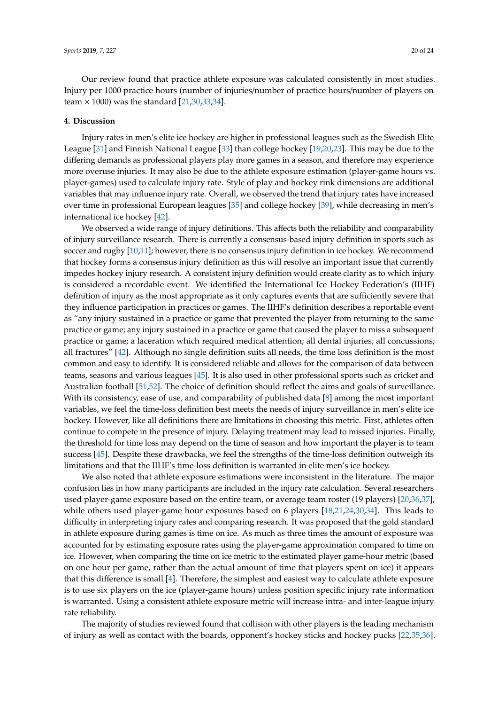Our review found that practice athlete exposure was calculated consistently in most studies. Injury per 1000 practice hours (number of injuries/number of practice hours/number of players on team  $\times$  1000) was the standard [\[21](#page-21-19)[,30](#page-22-26)[,33](#page-22-34)[,34\]](#page-22-22).

#### **4. Discussion**

Injury rates in men's elite ice hockey are higher in professional leagues such as the Swedish Elite League [\[31\]](#page-22-33) and Finnish National League [\[33\]](#page-22-34) than college hockey [\[19,](#page-21-17)[20,](#page-21-18)[23\]](#page-22-1). This may be due to the differing demands as professional players play more games in a season, and therefore may experience more overuse injuries. It may also be due to the athlete exposure estimation (player-game hours vs. player-games) used to calculate injury rate. Style of play and hockey rink dimensions are additional variables that may influence injury rate. Overall, we observed the trend that injury rates have increased over time in professional European leagues [\[35\]](#page-22-28) and college hockey [\[39\]](#page-22-29), while decreasing in men's international ice hockey [\[42\]](#page-22-30).

We observed a wide range of injury definitions. This affects both the reliability and comparability of injury surveillance research. There is currently a consensus-based injury definition in sports such as soccer and rugby [\[10,](#page-21-8)[11\]](#page-21-9); however, there is no consensus injury definition in ice hockey. We recommend that hockey forms a consensus injury definition as this will resolve an important issue that currently impedes hockey injury research. A consistent injury definition would create clarity as to which injury is considered a recordable event. We identified the International Ice Hockey Federation's (IIHF) definition of injury as the most appropriate as it only captures events that are sufficiently severe that they influence participation in practices or games. The IIHF's definition describes a reportable event as "any injury sustained in a practice or game that prevented the player from returning to the same practice or game; any injury sustained in a practice or game that caused the player to miss a subsequent practice or game; a laceration which required medical attention; all dental injuries; all concussions; all fractures" [\[42\]](#page-22-30). Although no single definition suits all needs, the time loss definition is the most common and easy to identify. It is considered reliable and allows for the comparison of data between teams, seasons and various leagues [\[45\]](#page-22-32). It is also used in other professional sports such as cricket and Australian football [\[51,](#page-23-5)[52\]](#page-23-6). The choice of definition should reflect the aims and goals of surveillance. With its consistency, ease of use, and comparability of published data [\[8\]](#page-21-6) among the most important variables, we feel the time-loss definition best meets the needs of injury surveillance in men's elite ice hockey. However, like all definitions there are limitations in choosing this metric. First, athletes often continue to compete in the presence of injury. Delaying treatment may lead to missed injuries. Finally, the threshold for time loss may depend on the time of season and how important the player is to team success [\[45\]](#page-22-32). Despite these drawbacks, we feel the strengths of the time-loss definition outweigh its limitations and that the IIHF's time-loss definition is warranted in elite men's ice hockey.

We also noted that athlete exposure estimations were inconsistent in the literature. The major confusion lies in how many participants are included in the injury rate calculation. Several researchers used player-game exposure based on the entire team, or average team roster (19 players) [\[20,](#page-21-18)[36,](#page-22-35)[37\]](#page-22-31), while others used player-game hour exposures based on 6 players [\[18,](#page-21-16)[21](#page-21-19)[,24](#page-22-2)[,30](#page-22-26)[,34\]](#page-22-22). This leads to difficulty in interpreting injury rates and comparing research. It was proposed that the gold standard in athlete exposure during games is time on ice. As much as three times the amount of exposure was accounted for by estimating exposure rates using the player-game approximation compared to time on ice. However, when comparing the time on ice metric to the estimated player game-hour metric (based on one hour per game, rather than the actual amount of time that players spent on ice) it appears that this difference is small [\[4\]](#page-21-2). Therefore, the simplest and easiest way to calculate athlete exposure is to use six players on the ice (player-game hours) unless position specific injury rate information is warranted. Using a consistent athlete exposure metric will increase intra- and inter-league injury rate reliability.

The majority of studies reviewed found that collision with other players is the leading mechanism of injury as well as contact with the boards, opponent's hockey sticks and hockey pucks [\[22,](#page-22-0)[35,](#page-22-28)[36\]](#page-22-35).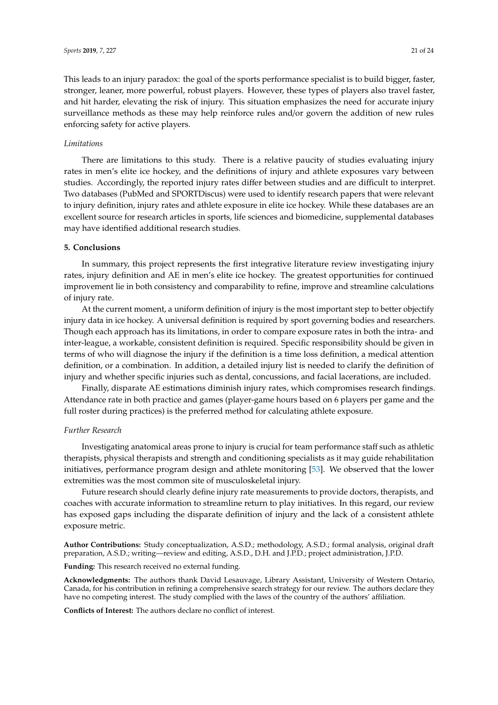This leads to an injury paradox: the goal of the sports performance specialist is to build bigger, faster, stronger, leaner, more powerful, robust players. However, these types of players also travel faster, and hit harder, elevating the risk of injury. This situation emphasizes the need for accurate injury surveillance methods as these may help reinforce rules and/or govern the addition of new rules enforcing safety for active players.

### *Limitations*

There are limitations to this study. There is a relative paucity of studies evaluating injury rates in men's elite ice hockey, and the definitions of injury and athlete exposures vary between studies. Accordingly, the reported injury rates differ between studies and are difficult to interpret. Two databases (PubMed and SPORTDiscus) were used to identify research papers that were relevant to injury definition, injury rates and athlete exposure in elite ice hockey. While these databases are an excellent source for research articles in sports, life sciences and biomedicine, supplemental databases may have identified additional research studies.

### **5. Conclusions**

In summary, this project represents the first integrative literature review investigating injury rates, injury definition and AE in men's elite ice hockey. The greatest opportunities for continued improvement lie in both consistency and comparability to refine, improve and streamline calculations of injury rate.

At the current moment, a uniform definition of injury is the most important step to better objectify injury data in ice hockey. A universal definition is required by sport governing bodies and researchers. Though each approach has its limitations, in order to compare exposure rates in both the intra- and inter-league, a workable, consistent definition is required. Specific responsibility should be given in terms of who will diagnose the injury if the definition is a time loss definition, a medical attention definition, or a combination. In addition, a detailed injury list is needed to clarify the definition of injury and whether specific injuries such as dental, concussions, and facial lacerations, are included.

Finally, disparate AE estimations diminish injury rates, which compromises research findings. Attendance rate in both practice and games (player-game hours based on 6 players per game and the full roster during practices) is the preferred method for calculating athlete exposure.

### *Further Research*

Investigating anatomical areas prone to injury is crucial for team performance staff such as athletic therapists, physical therapists and strength and conditioning specialists as it may guide rehabilitation initiatives, performance program design and athlete monitoring [\[53\]](#page-23-7). We observed that the lower extremities was the most common site of musculoskeletal injury.

Future research should clearly define injury rate measurements to provide doctors, therapists, and coaches with accurate information to streamline return to play initiatives. In this regard, our review has exposed gaps including the disparate definition of injury and the lack of a consistent athlete exposure metric.

**Author Contributions:** Study conceptualization, A.S.D.; methodology, A.S.D.; formal analysis, original draft preparation, A.S.D.; writing—review and editing, A.S.D., D.H. and J.P.D.; project administration, J.P.D.

**Funding:** This research received no external funding.

**Acknowledgments:** The authors thank David Lesauvage, Library Assistant, University of Western Ontario, Canada, for his contribution in refining a comprehensive search strategy for our review. The authors declare they have no competing interest. The study complied with the laws of the country of the authors' affiliation.

**Conflicts of Interest:** The authors declare no conflict of interest.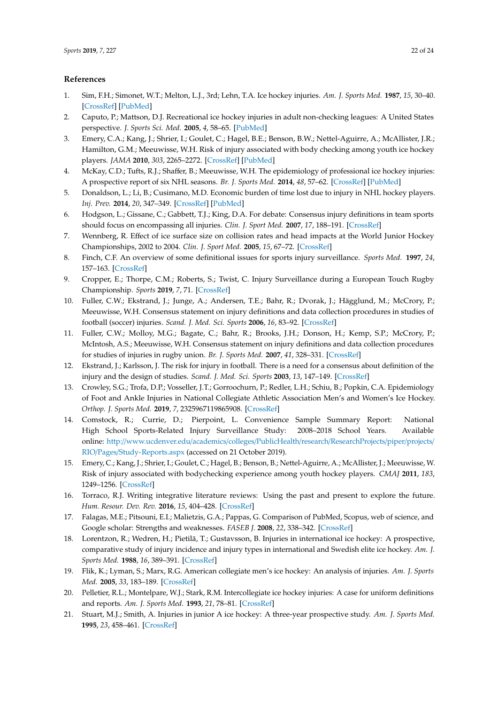### <span id="page-21-24"></span>**References**

- <span id="page-21-0"></span>1. Sim, F.H.; Simonet, W.T.; Melton, L.J., 3rd; Lehn, T.A. Ice hockey injuries. *Am. J. Sports Med.* **1987**, *15*, 30–40. [\[CrossRef\]](http://dx.doi.org/10.1177/036354658701500105) [\[PubMed\]](http://www.ncbi.nlm.nih.gov/pubmed/3812859)
- 2. Caputo, P.; Mattson, D.J. Recreational ice hockey injuries in adult non-checking leagues: A United States perspective. *J. Sports Sci. Med.* **2005**, *4*, 58–65. [\[PubMed\]](http://www.ncbi.nlm.nih.gov/pubmed/24431962)
- <span id="page-21-1"></span>3. Emery, C.A.; Kang, J.; Shrier, I.; Goulet, C.; Hagel, B.E.; Benson, B.W.; Nettel-Aguirre, A.; McAllister, J.R.; Hamilton, G.M.; Meeuwisse, W.H. Risk of injury associated with body checking among youth ice hockey players. *JAMA* **2010**, *303*, 2265–2272. [\[CrossRef\]](http://dx.doi.org/10.1001/jama.2010.755) [\[PubMed\]](http://www.ncbi.nlm.nih.gov/pubmed/20530780)
- <span id="page-21-2"></span>4. McKay, C.D.; Tufts, R.J.; Shaffer, B.; Meeuwisse, W.H. The epidemiology of professional ice hockey injuries: A prospective report of six NHL seasons. *Br. J. Sports Med.* **2014**, *48*, 57–62. [\[CrossRef\]](http://dx.doi.org/10.1136/bjsports-2013-092860) [\[PubMed\]](http://www.ncbi.nlm.nih.gov/pubmed/24334505)
- <span id="page-21-3"></span>5. Donaldson, L.; Li, B.; Cusimano, M.D. Economic burden of time lost due to injury in NHL hockey players. *Inj. Prev.* **2014**, *20*, 347–349. [\[CrossRef\]](http://dx.doi.org/10.1136/injuryprev-2013-041016) [\[PubMed\]](http://www.ncbi.nlm.nih.gov/pubmed/24446078)
- <span id="page-21-4"></span>6. Hodgson, L.; Gissane, C.; Gabbett, T.J.; King, D.A. For debate: Consensus injury definitions in team sports should focus on encompassing all injuries. *Clin. J. Sport Med.* **2007**, *17*, 188–191. [\[CrossRef\]](http://dx.doi.org/10.1097/JSM.0b013e3180547513)
- <span id="page-21-5"></span>7. Wennberg, R. Effect of ice surface size on collision rates and head impacts at the World Junior Hockey Championships, 2002 to 2004. *Clin. J. Sport Med.* **2005**, *15*, 67–72. [\[CrossRef\]](http://dx.doi.org/10.1097/01.jsm.0000152712.27968.fe)
- <span id="page-21-6"></span>8. Finch, C.F. An overview of some definitional issues for sports injury surveillance. *Sports Med.* **1997**, *24*, 157–163. [\[CrossRef\]](http://dx.doi.org/10.2165/00007256-199724030-00002)
- <span id="page-21-7"></span>9. Cropper, E.; Thorpe, C.M.; Roberts, S.; Twist, C. Injury Surveillance during a European Touch Rugby Championship. *Sports* **2019**, *7*, 71. [\[CrossRef\]](http://dx.doi.org/10.3390/sports7030071)
- <span id="page-21-8"></span>10. Fuller, C.W.; Ekstrand, J.; Junge, A.; Andersen, T.E.; Bahr, R.; Dvorak, J.; Hägglund, M.; McCrory, P.; Meeuwisse, W.H. Consensus statement on injury definitions and data collection procedures in studies of football (soccer) injuries. *Scand. J. Med. Sci. Sports* **2006**, *16*, 83–92. [\[CrossRef\]](http://dx.doi.org/10.1111/j.1600-0838.2006.00528.x)
- <span id="page-21-20"></span><span id="page-21-9"></span>11. Fuller, C.W.; Molloy, M.G.; Bagate, C.; Bahr, R.; Brooks, J.H.; Donson, H.; Kemp, S.P.; McCrory, P.; McIntosh, A.S.; Meeuwisse, W.H. Consensus statement on injury definitions and data collection procedures for studies of injuries in rugby union. *Br. J. Sports Med.* **2007**, *41*, 328–331. [\[CrossRef\]](http://dx.doi.org/10.1136/bjsm.2006.033282)
- <span id="page-21-23"></span><span id="page-21-10"></span>12. Ekstrand, J.; Karlsson, J. The risk for injury in football. There is a need for a consensus about definition of the injury and the design of studies. *Scand. J. Med. Sci. Sports* **2003**, *13*, 147–149. [\[CrossRef\]](http://dx.doi.org/10.1034/j.1600-0838.2003.00129.x)
- <span id="page-21-22"></span><span id="page-21-21"></span><span id="page-21-11"></span>13. Crowley, S.G.; Trofa, D.P.; Vosseller, J.T.; Gorroochurn, P.; Redler, L.H.; Schiu, B.; Popkin, C.A. Epidemiology of Foot and Ankle Injuries in National Collegiate Athletic Association Men's and Women's Ice Hockey. *Orthop. J. Sports Med.* **2019**, *7*, 2325967119865908. [\[CrossRef\]](http://dx.doi.org/10.1177/2325967119865908)
- <span id="page-21-12"></span>14. Comstock, R.; Currie, D.; Pierpoint, L. Convenience Sample Summary Report: National High School Sports-Related Injury Surveillance Study: 2008–2018 School Years. Available online: http://[www.ucdenver.edu](http://www.ucdenver.edu/academics/colleges/PublicHealth/research/ResearchProjects/piper/projects/RIO/Pages/Study-Reports.aspx)/academics/colleges/PublicHealth/research/ResearchProjects/piper/projects/ RIO/Pages/[Study-Reports.aspx](http://www.ucdenver.edu/academics/colleges/PublicHealth/research/ResearchProjects/piper/projects/RIO/Pages/Study-Reports.aspx) (accessed on 21 October 2019).
- <span id="page-21-13"></span>15. Emery, C.; Kang, J.; Shrier, I.; Goulet, C.; Hagel, B.; Benson, B.; Nettel-Aguirre, A.; McAllister, J.; Meeuwisse, W. Risk of injury associated with bodychecking experience among youth hockey players. *CMAJ* **2011**, *183*, 1249–1256. [\[CrossRef\]](http://dx.doi.org/10.1503/cmaj.101540)
- <span id="page-21-14"></span>16. Torraco, R.J. Writing integrative literature reviews: Using the past and present to explore the future. *Hum. Resour. Dev. Rev.* **2016**, *15*, 404–428. [\[CrossRef\]](http://dx.doi.org/10.1177/1534484316671606)
- <span id="page-21-15"></span>17. Falagas, M.E.; Pitsouni, E.I.; Malietzis, G.A.; Pappas, G. Comparison of PubMed, Scopus, web of science, and Google scholar: Strengths and weaknesses. *FASEB J.* **2008**, *22*, 338–342. [\[CrossRef\]](http://dx.doi.org/10.1096/fj.07-9492LSF)
- <span id="page-21-16"></span>18. Lorentzon, R.; Wedren, H.; Pietilä, T.; Gustavsson, B. Injuries in international ice hockey: A prospective, comparative study of injury incidence and injury types in international and Swedish elite ice hockey. *Am. J. Sports Med.* **1988**, *16*, 389–391. [\[CrossRef\]](http://dx.doi.org/10.1177/036354658801600414)
- <span id="page-21-17"></span>19. Flik, K.; Lyman, S.; Marx, R.G. American collegiate men's ice hockey: An analysis of injuries. *Am. J. Sports Med.* **2005**, *33*, 183–189. [\[CrossRef\]](http://dx.doi.org/10.1177/0363546504267349)
- <span id="page-21-18"></span>20. Pelletier, R.L.; Montelpare, W.J.; Stark, R.M. Intercollegiate ice hockey injuries: A case for uniform definitions and reports. *Am. J. Sports Med.* **1993**, *21*, 78–81. [\[CrossRef\]](http://dx.doi.org/10.1177/036354659302100114)
- <span id="page-21-19"></span>21. Stuart, M.J.; Smith, A. Injuries in junior A ice hockey: A three-year prospective study. *Am. J. Sports Med.* **1995**, *23*, 458–461. [\[CrossRef\]](http://dx.doi.org/10.1177/036354659502300415)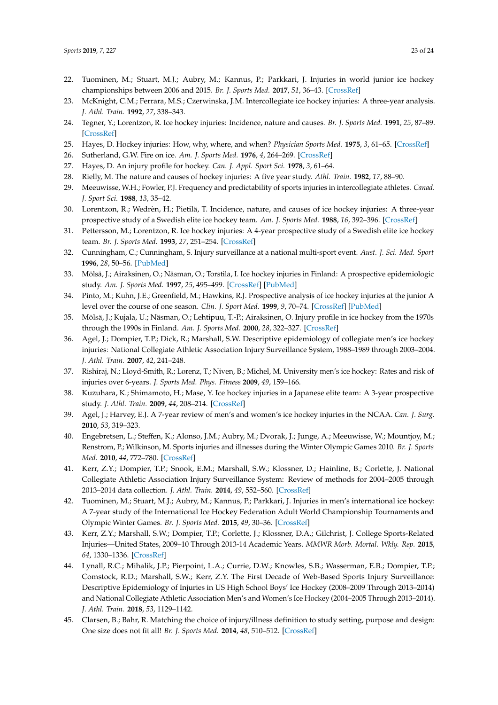- <span id="page-22-24"></span><span id="page-22-14"></span><span id="page-22-13"></span><span id="page-22-12"></span><span id="page-22-11"></span><span id="page-22-10"></span><span id="page-22-9"></span><span id="page-22-8"></span><span id="page-22-7"></span><span id="page-22-6"></span><span id="page-22-5"></span><span id="page-22-4"></span><span id="page-22-3"></span><span id="page-22-0"></span>22. Tuominen, M.; Stuart, M.J.; Aubry, M.; Kannus, P.; Parkkari, J. Injuries in world junior ice hockey championships between 2006 and 2015. *Br. J. Sports Med.* **2017**, *51*, 36–43. [\[CrossRef\]](http://dx.doi.org/10.1136/bjsports-2016-095992)
- <span id="page-22-15"></span><span id="page-22-1"></span>23. McKnight, C.M.; Ferrara, M.S.; Czerwinska, J.M. Intercollegiate ice hockey injuries: A three-year analysis. *J. Athl. Train.* **1992**, *27*, 338–343.
- <span id="page-22-16"></span><span id="page-22-2"></span>24. Tegner, Y.; Lorentzon, R. Ice hockey injuries: Incidence, nature and causes. *Br. J. Sports Med.* **1991**, *25*, 87–89. [\[CrossRef\]](http://dx.doi.org/10.1136/bjsm.25.2.87)
- 25. Hayes, D. Hockey injuries: How, why, where, and when? *Physician Sports Med.* **1975**, *3*, 61–65. [\[CrossRef\]](http://dx.doi.org/10.1080/00913847.1975.11948128)
- <span id="page-22-17"></span>26. Sutherland, G.W. Fire on ice. *Am. J. Sports Med.* **1976**, *4*, 264–269. [\[CrossRef\]](http://dx.doi.org/10.1177/036354657600400605)
- 27. Hayes, D. An injury profile for hockey. *Can. J. Appl. Sport Sci.* **1978**, *3*, 61–64.
- <span id="page-22-18"></span>28. Rielly, M. The nature and causes of hockey injuries: A five year study. *Athl. Train.* **1982**, *17*, 88–90.
- 29. Meeuwisse, W.H.; Fowler, P.J. Frequency and predictability of sports injuries in intercollegiate athletes. *Canad. J. Sport Sci.* **1988**, *13*, 35–42.
- <span id="page-22-26"></span><span id="page-22-19"></span>30. Lorentzon, R.; Wedrèn, H.; Pietilä, T. Incidence, nature, and causes of ice hockey injuries: A three-year prospective study of a Swedish elite ice hockey team. *Am. J. Sports Med.* **1988**, *16*, 392–396. [\[CrossRef\]](http://dx.doi.org/10.1177/036354658801600415)
- <span id="page-22-33"></span><span id="page-22-20"></span>31. Pettersson, M.; Lorentzon, R. Ice hockey injuries: A 4-year prospective study of a Swedish elite ice hockey team. *Br. J. Sports Med.* **1993**, *27*, 251–254. [\[CrossRef\]](http://dx.doi.org/10.1136/bjsm.27.4.251)
- <span id="page-22-21"></span>32. Cunningham, C.; Cunningham, S. Injury surveillance at a national multi-sport event. *Aust. J. Sci. Med. Sport* **1996**, *28*, 50–56. [\[PubMed\]](http://www.ncbi.nlm.nih.gov/pubmed/8836476)
- <span id="page-22-34"></span>33. Mölsä, J.; Airaksinen, O.; Näsman, O.; Torstila, I. Ice hockey injuries in Finland: A prospective epidemiologic study. *Am. J. Sports Med.* **1997**, *25*, 495–499. [\[CrossRef\]](http://dx.doi.org/10.1177/036354659702500412) [\[PubMed\]](http://www.ncbi.nlm.nih.gov/pubmed/9240983)
- <span id="page-22-22"></span>34. Pinto, M.; Kuhn, J.E.; Greenfield, M.; Hawkins, R.J. Prospective analysis of ice hockey injuries at the junior A level over the course of one season. *Clin. J. Sport Med.* **1999**, *9*, 70–74. [\[CrossRef\]](http://dx.doi.org/10.1097/00042752-199904000-00005) [\[PubMed\]](http://www.ncbi.nlm.nih.gov/pubmed/10442620)
- <span id="page-22-28"></span><span id="page-22-23"></span>35. Mölsä, J.; Kujala, U.; Näsman, O.; Lehtipuu, T.-P.; Airaksinen, O. Injury profile in ice hockey from the 1970s through the 1990s in Finland. *Am. J. Sports Med.* **2000**, *28*, 322–327. [\[CrossRef\]](http://dx.doi.org/10.1177/03635465000280030701)
- <span id="page-22-35"></span><span id="page-22-25"></span>36. Agel, J.; Dompier, T.P.; Dick, R.; Marshall, S.W. Descriptive epidemiology of collegiate men's ice hockey injuries: National Collegiate Athletic Association Injury Surveillance System, 1988–1989 through 2003–2004. *J. Athl. Train.* **2007**, *42*, 241–248.
- <span id="page-22-31"></span>37. Rishiraj, N.; Lloyd-Smith, R.; Lorenz, T.; Niven, B.; Michel, M. University men's ice hockey: Rates and risk of injuries over 6-years. *J. Sports Med. Phys. Fitness* **2009**, *49*, 159–166.
- <span id="page-22-27"></span>38. Kuzuhara, K.; Shimamoto, H.; Mase, Y. Ice hockey injuries in a Japanese elite team: A 3-year prospective study. *J. Athl. Train.* **2009**, *44*, 208–214. [\[CrossRef\]](http://dx.doi.org/10.4085/1062-6050-44.2.208)
- <span id="page-22-29"></span>39. Agel, J.; Harvey, E.J. A 7-year review of men's and women's ice hockey injuries in the NCAA. *Can. J. Surg.* **2010**, *53*, 319–323.
- 40. Engebretsen, L.; Steffen, K.; Alonso, J.M.; Aubry, M.; Dvorak, J.; Junge, A.; Meeuwisse, W.; Mountjoy, M.; Renstrom, P.; Wilkinson, M. Sports injuries and illnesses during the Winter Olympic Games 2010. *Br. J. Sports Med.* **2010**, *44*, 772–780. [\[CrossRef\]](http://dx.doi.org/10.1136/bjsm.2010.076992)
- 41. Kerr, Z.Y.; Dompier, T.P.; Snook, E.M.; Marshall, S.W.; Klossner, D.; Hainline, B.; Corlette, J. National Collegiate Athletic Association Injury Surveillance System: Review of methods for 2004–2005 through 2013–2014 data collection. *J. Athl. Train.* **2014**, *49*, 552–560. [\[CrossRef\]](http://dx.doi.org/10.4085/1062-6050-49.3.58)
- <span id="page-22-30"></span>42. Tuominen, M.; Stuart, M.J.; Aubry, M.; Kannus, P.; Parkkari, J. Injuries in men's international ice hockey: A 7-year study of the International Ice Hockey Federation Adult World Championship Tournaments and Olympic Winter Games. *Br. J. Sports Med.* **2015**, *49*, 30–36. [\[CrossRef\]](http://dx.doi.org/10.1136/bjsports-2014-093688)
- 43. Kerr, Z.Y.; Marshall, S.W.; Dompier, T.P.; Corlette, J.; Klossner, D.A.; Gilchrist, J. College Sports-Related Injuries—United States, 2009–10 Through 2013-14 Academic Years. *MMWR Morb. Mortal. Wkly. Rep.* **2015**, *64*, 1330–1336. [\[CrossRef\]](http://dx.doi.org/10.15585/mmwr.mm6448a2)
- 44. Lynall, R.C.; Mihalik, J.P.; Pierpoint, L.A.; Currie, D.W.; Knowles, S.B.; Wasserman, E.B.; Dompier, T.P.; Comstock, R.D.; Marshall, S.W.; Kerr, Z.Y. The First Decade of Web-Based Sports Injury Surveillance: Descriptive Epidemiology of Injuries in US High School Boys' Ice Hockey (2008–2009 Through 2013–2014) and National Collegiate Athletic Association Men's and Women's Ice Hockey (2004–2005 Through 2013–2014). *J. Athl. Train.* **2018**, *53*, 1129–1142.
- <span id="page-22-32"></span>45. Clarsen, B.; Bahr, R. Matching the choice of injury/illness definition to study setting, purpose and design: One size does not fit all! *Br. J. Sports Med.* **2014**, *48*, 510–512. [\[CrossRef\]](http://dx.doi.org/10.1136/bjsports-2013-093297)